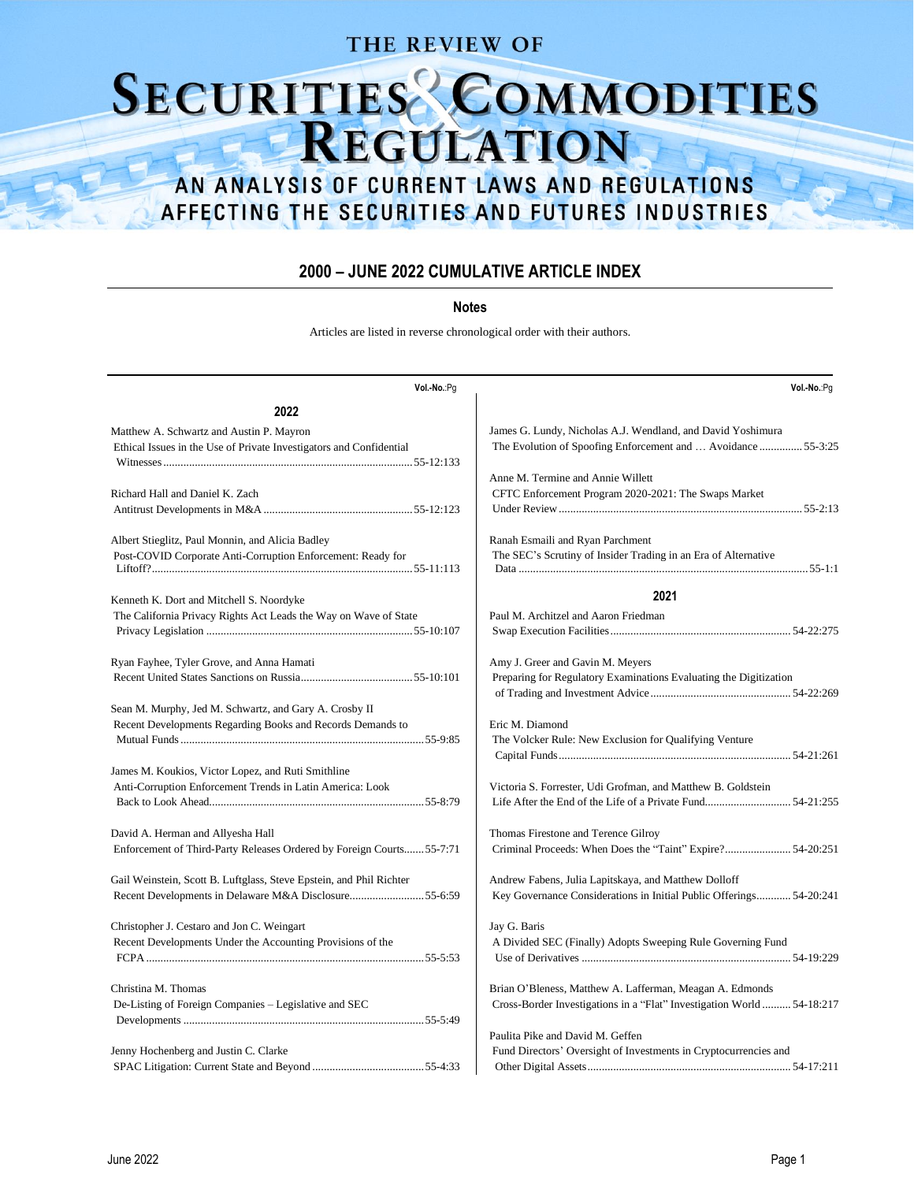### THE REVIEW OF

# SECURITIES COMMODITIES

# AN ANALYSIS OF CURRENT LAWS AND REGULATIONS AFFECTING THE SECURITIES AND FUTURES INDUSTRIES

### **2000 – JUNE 2022 CUMULATIVE ARTICLE INDEX**

### **Notes**

Articles are listed in reverse chronological order with their authors.

| Vol.-No.:Pg                                                           | Vol .- No.: Pg                                                         |
|-----------------------------------------------------------------------|------------------------------------------------------------------------|
| 2022                                                                  |                                                                        |
| Matthew A. Schwartz and Austin P. Mayron                              | James G. Lundy, Nicholas A.J. Wendland, and David Yoshimura            |
| Ethical Issues in the Use of Private Investigators and Confidential   | The Evolution of Spoofing Enforcement and  Avoidance  55-3:25          |
|                                                                       |                                                                        |
|                                                                       | Anne M. Termine and Annie Willett                                      |
| Richard Hall and Daniel K. Zach                                       | CFTC Enforcement Program 2020-2021: The Swaps Market                   |
|                                                                       |                                                                        |
| Albert Stieglitz, Paul Monnin, and Alicia Badley                      | Ranah Esmaili and Ryan Parchment                                       |
| Post-COVID Corporate Anti-Corruption Enforcement: Ready for           | The SEC's Scrutiny of Insider Trading in an Era of Alternative         |
|                                                                       |                                                                        |
| Kenneth K. Dort and Mitchell S. Noordyke                              | 2021                                                                   |
| The California Privacy Rights Act Leads the Way on Wave of State      | Paul M. Architzel and Aaron Friedman                                   |
|                                                                       |                                                                        |
| Ryan Fayhee, Tyler Grove, and Anna Hamati                             | Amy J. Greer and Gavin M. Meyers                                       |
|                                                                       | Preparing for Regulatory Examinations Evaluating the Digitization      |
|                                                                       |                                                                        |
| Sean M. Murphy, Jed M. Schwartz, and Gary A. Crosby II                |                                                                        |
| Recent Developments Regarding Books and Records Demands to            | Eric M. Diamond                                                        |
|                                                                       | The Volcker Rule: New Exclusion for Qualifying Venture                 |
|                                                                       |                                                                        |
| James M. Koukios, Victor Lopez, and Ruti Smithline                    |                                                                        |
| Anti-Corruption Enforcement Trends in Latin America: Look             | Victoria S. Forrester, Udi Grofman, and Matthew B. Goldstein           |
|                                                                       | Life After the End of the Life of a Private Fund54-21:255              |
| David A. Herman and Allyesha Hall                                     | Thomas Firestone and Terence Gilroy                                    |
| Enforcement of Third-Party Releases Ordered by Foreign Courts 55-7:71 | Criminal Proceeds: When Does the "Taint" Expire? 54-20:251             |
|                                                                       |                                                                        |
| Gail Weinstein, Scott B. Luftglass, Steve Epstein, and Phil Richter   | Andrew Fabens, Julia Lapitskaya, and Matthew Dolloff                   |
| Recent Developments in Delaware M&A Disclosure55-6:59                 | Key Governance Considerations in Initial Public Offerings 54-20:241    |
| Christopher J. Cestaro and Jon C. Weingart                            | Jay G. Baris                                                           |
| Recent Developments Under the Accounting Provisions of the            | A Divided SEC (Finally) Adopts Sweeping Rule Governing Fund            |
|                                                                       |                                                                        |
| Christina M. Thomas                                                   | Brian O'Bleness, Matthew A. Lafferman, Meagan A. Edmonds               |
| De-Listing of Foreign Companies - Legislative and SEC                 | Cross-Border Investigations in a "Flat" Investigation World  54-18:217 |
|                                                                       |                                                                        |
|                                                                       | Paulita Pike and David M. Geffen                                       |
| Jenny Hochenberg and Justin C. Clarke                                 | Fund Directors' Oversight of Investments in Cryptocurrencies and       |
|                                                                       |                                                                        |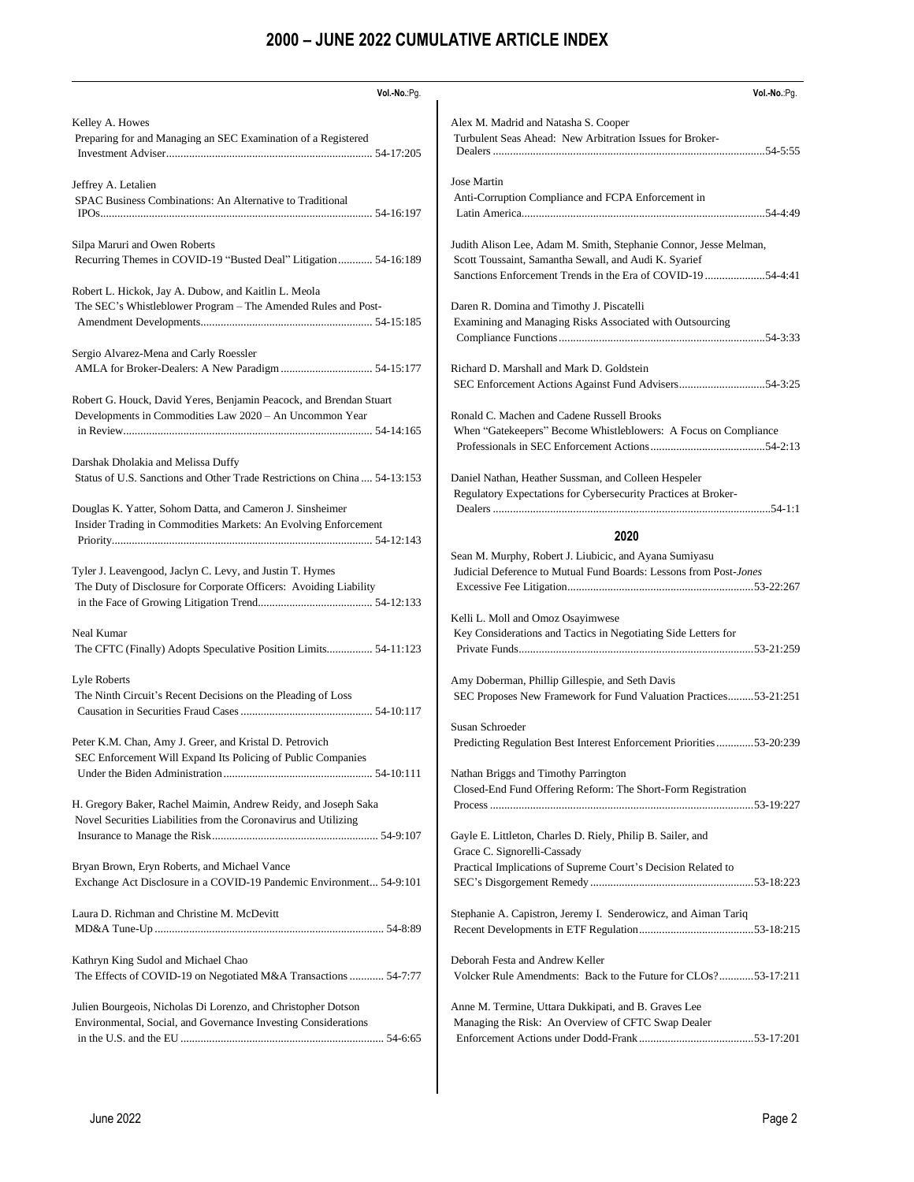| Vol.-No.:Pg.                                                                                                                 | Vol.-No.:Pg.                                                                                                                                                                              |
|------------------------------------------------------------------------------------------------------------------------------|-------------------------------------------------------------------------------------------------------------------------------------------------------------------------------------------|
| Kelley A. Howes                                                                                                              | Alex M. Madrid and Natasha S. Cooper                                                                                                                                                      |
| Preparing for and Managing an SEC Examination of a Registered                                                                | Turbulent Seas Ahead: New Arbitration Issues for Broker-                                                                                                                                  |
|                                                                                                                              |                                                                                                                                                                                           |
| Jeffrey A. Letalien                                                                                                          | Jose Martin                                                                                                                                                                               |
| SPAC Business Combinations: An Alternative to Traditional                                                                    | Anti-Corruption Compliance and FCPA Enforcement in                                                                                                                                        |
|                                                                                                                              |                                                                                                                                                                                           |
| Silpa Maruri and Owen Roberts<br>Recurring Themes in COVID-19 "Busted Deal" Litigation 54-16:189                             | Judith Alison Lee, Adam M. Smith, Stephanie Connor, Jesse Melman,<br>Scott Toussaint, Samantha Sewall, and Audi K. Syarief<br>Sanctions Enforcement Trends in the Era of COVID-19 54-4:41 |
| Robert L. Hickok, Jay A. Dubow, and Kaitlin L. Meola                                                                         | Daren R. Domina and Timothy J. Piscatelli                                                                                                                                                 |
| The SEC's Whistleblower Program - The Amended Rules and Post-                                                                | Examining and Managing Risks Associated with Outsourcing                                                                                                                                  |
|                                                                                                                              |                                                                                                                                                                                           |
| Sergio Alvarez-Mena and Carly Roessler                                                                                       | Richard D. Marshall and Mark D. Goldstein                                                                                                                                                 |
|                                                                                                                              | SEC Enforcement Actions Against Fund Advisers54-3:25                                                                                                                                      |
| Robert G. Houck, David Yeres, Benjamin Peacock, and Brendan Stuart                                                           | Ronald C. Machen and Cadene Russell Brooks                                                                                                                                                |
| Developments in Commodities Law 2020 - An Uncommon Year                                                                      | When "Gatekeepers" Become Whistleblowers: A Focus on Compliance                                                                                                                           |
|                                                                                                                              |                                                                                                                                                                                           |
| Darshak Dholakia and Melissa Duffy                                                                                           | Daniel Nathan, Heather Sussman, and Colleen Hespeler                                                                                                                                      |
| Status of U.S. Sanctions and Other Trade Restrictions on China 54-13:153                                                     | Regulatory Expectations for Cybersecurity Practices at Broker-                                                                                                                            |
| Douglas K. Yatter, Sohom Datta, and Cameron J. Sinsheimer<br>Insider Trading in Commodities Markets: An Evolving Enforcement | 2020                                                                                                                                                                                      |
| Tyler J. Leavengood, Jaclyn C. Levy, and Justin T. Hymes                                                                     | Sean M. Murphy, Robert J. Liubicic, and Ayana Sumiyasu                                                                                                                                    |
| The Duty of Disclosure for Corporate Officers: Avoiding Liability                                                            | Judicial Deference to Mutual Fund Boards: Lessons from Post-Jones                                                                                                                         |
|                                                                                                                              |                                                                                                                                                                                           |
| Neal Kumar<br>The CFTC (Finally) Adopts Speculative Position Limits 54-11:123                                                | Kelli L. Moll and Omoz Osayimwese<br>Key Considerations and Tactics in Negotiating Side Letters for                                                                                       |
| Lyle Roberts                                                                                                                 | Amy Doberman, Phillip Gillespie, and Seth Davis                                                                                                                                           |
| The Ninth Circuit's Recent Decisions on the Pleading of Loss                                                                 | SEC Proposes New Framework for Fund Valuation Practices53-21:251                                                                                                                          |
|                                                                                                                              | Susan Schroeder                                                                                                                                                                           |
| Peter K.M. Chan, Amy J. Greer, and Kristal D. Petrovich<br>SEC Enforcement Will Expand Its Policing of Public Companies      | Predicting Regulation Best Interest Enforcement Priorities 53-20:239                                                                                                                      |
| H. Gregory Baker, Rachel Maimin, Andrew Reidy, and Joseph Saka                                                               | Nathan Briggs and Timothy Parrington<br>Closed-End Fund Offering Reform: The Short-Form Registration                                                                                      |
| Novel Securities Liabilities from the Coronavirus and Utilizing                                                              | Gayle E. Littleton, Charles D. Riely, Philip B. Sailer, and                                                                                                                               |
|                                                                                                                              | Grace C. Signorelli-Cassady                                                                                                                                                               |
| Bryan Brown, Eryn Roberts, and Michael Vance                                                                                 | Practical Implications of Supreme Court's Decision Related to                                                                                                                             |
| Exchange Act Disclosure in a COVID-19 Pandemic Environment 54-9:101                                                          |                                                                                                                                                                                           |
| Laura D. Richman and Christine M. McDevitt                                                                                   | Stephanie A. Capistron, Jeremy I. Senderowicz, and Aiman Tariq                                                                                                                            |
|                                                                                                                              |                                                                                                                                                                                           |
| Kathryn King Sudol and Michael Chao                                                                                          | Deborah Festa and Andrew Keller                                                                                                                                                           |
| The Effects of COVID-19 on Negotiated M&A Transactions  54-7:77                                                              | Volcker Rule Amendments: Back to the Future for CLOs?53-17:211                                                                                                                            |
| Julien Bourgeois, Nicholas Di Lorenzo, and Christopher Dotson                                                                | Anne M. Termine, Uttara Dukkipati, and B. Graves Lee                                                                                                                                      |
| Environmental, Social, and Governance Investing Considerations                                                               | Managing the Risk: An Overview of CFTC Swap Dealer                                                                                                                                        |
|                                                                                                                              |                                                                                                                                                                                           |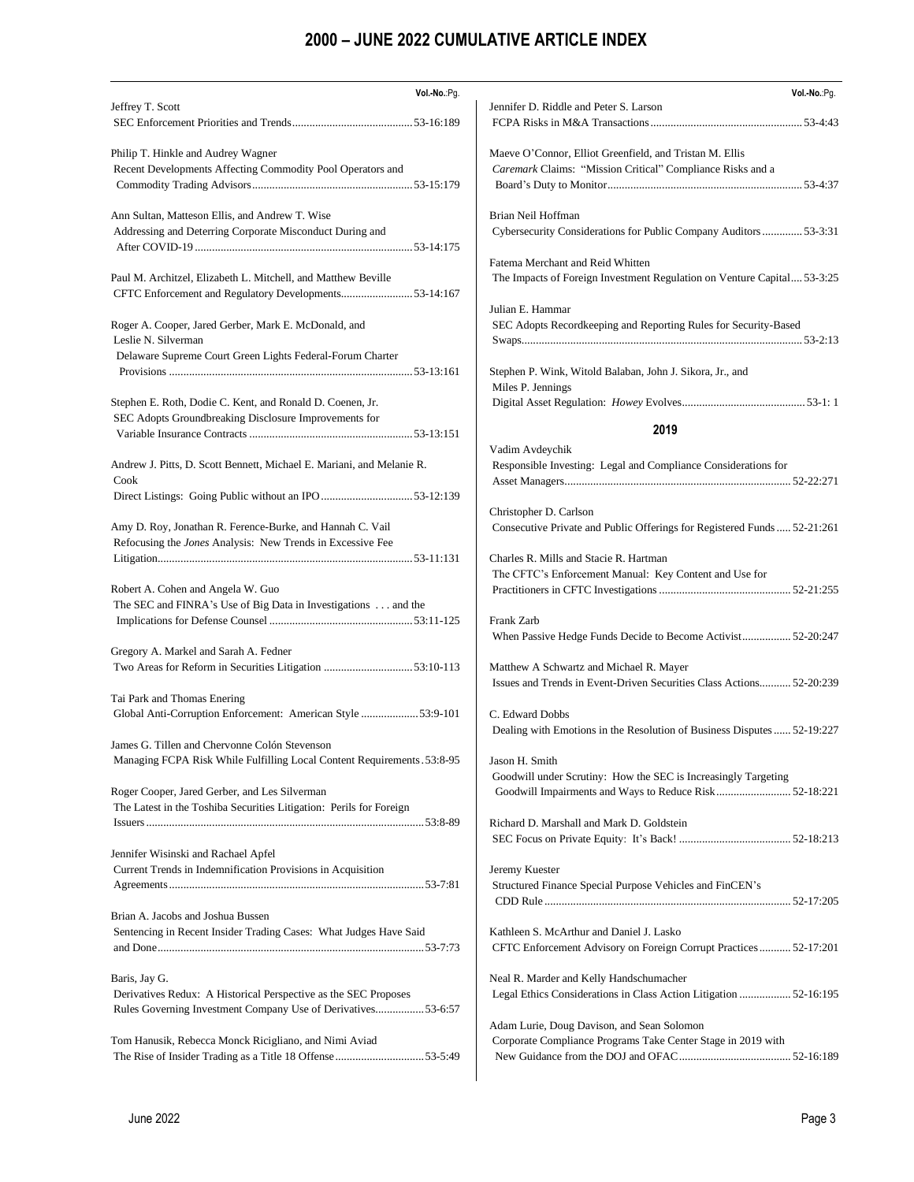| Vol.-No.:Pg.                                                             | Vol.-No.:Pg.                                                             |
|--------------------------------------------------------------------------|--------------------------------------------------------------------------|
| Jeffrey T. Scott                                                         | Jennifer D. Riddle and Peter S. Larson                                   |
|                                                                          |                                                                          |
|                                                                          |                                                                          |
| Philip T. Hinkle and Audrey Wagner                                       | Maeve O'Connor, Elliot Greenfield, and Tristan M. Ellis                  |
| Recent Developments Affecting Commodity Pool Operators and               | Caremark Claims: "Mission Critical" Compliance Risks and a               |
|                                                                          |                                                                          |
|                                                                          |                                                                          |
| Ann Sultan, Matteson Ellis, and Andrew T. Wise                           | Brian Neil Hoffman                                                       |
| Addressing and Deterring Corporate Misconduct During and                 | Cybersecurity Considerations for Public Company Auditors  53-3:31        |
|                                                                          |                                                                          |
|                                                                          | Fatema Merchant and Reid Whitten                                         |
| Paul M. Architzel, Elizabeth L. Mitchell, and Matthew Beville            | The Impacts of Foreign Investment Regulation on Venture Capital 53-3:25  |
| CFTC Enforcement and Regulatory Developments53-14:167                    |                                                                          |
|                                                                          | Julian E. Hammar                                                         |
| Roger A. Cooper, Jared Gerber, Mark E. McDonald, and                     | SEC Adopts Recordkeeping and Reporting Rules for Security-Based          |
| Leslie N. Silverman                                                      |                                                                          |
| Delaware Supreme Court Green Lights Federal-Forum Charter                |                                                                          |
|                                                                          | Stephen P. Wink, Witold Balaban, John J. Sikora, Jr., and                |
|                                                                          | Miles P. Jennings                                                        |
| Stephen E. Roth, Dodie C. Kent, and Ronald D. Coenen, Jr.                |                                                                          |
| SEC Adopts Groundbreaking Disclosure Improvements for                    |                                                                          |
|                                                                          | 2019                                                                     |
|                                                                          | Vadim Avdeychik                                                          |
| Andrew J. Pitts, D. Scott Bennett, Michael E. Mariani, and Melanie R.    | Responsible Investing: Legal and Compliance Considerations for           |
| Cook                                                                     |                                                                          |
|                                                                          |                                                                          |
|                                                                          | Christopher D. Carlson                                                   |
| Amy D. Roy, Jonathan R. Ference-Burke, and Hannah C. Vail                | Consecutive Private and Public Offerings for Registered Funds  52-21:261 |
| Refocusing the Jones Analysis: New Trends in Excessive Fee               |                                                                          |
|                                                                          | Charles R. Mills and Stacie R. Hartman                                   |
|                                                                          | The CFTC's Enforcement Manual: Key Content and Use for                   |
| Robert A. Cohen and Angela W. Guo                                        |                                                                          |
| The SEC and FINRA's Use of Big Data in Investigations and the            |                                                                          |
|                                                                          | Frank Zarb                                                               |
|                                                                          | When Passive Hedge Funds Decide to Become Activist 52-20:247             |
| Gregory A. Markel and Sarah A. Fedner                                    |                                                                          |
| Two Areas for Reform in Securities Litigation 53:10-113                  | Matthew A Schwartz and Michael R. Mayer                                  |
|                                                                          | Issues and Trends in Event-Driven Securities Class Actions 52-20:239     |
| Tai Park and Thomas Enering                                              |                                                                          |
| Global Anti-Corruption Enforcement: American Style 53:9-101              | C. Edward Dobbs                                                          |
|                                                                          | Dealing with Emotions in the Resolution of Business Disputes 52-19:227   |
| James G. Tillen and Chervonne Colón Stevenson                            |                                                                          |
| Managing FCPA Risk While Fulfilling Local Content Requirements . 53:8-95 | Jason H. Smith                                                           |
|                                                                          | Goodwill under Scrutiny: How the SEC is Increasingly Targeting           |
| Roger Cooper, Jared Gerber, and Les Silverman                            | Goodwill Impairments and Ways to Reduce Risk 52-18:221                   |
| The Latest in the Toshiba Securities Litigation: Perils for Foreign      |                                                                          |
|                                                                          | Richard D. Marshall and Mark D. Goldstein                                |
|                                                                          |                                                                          |
| Jennifer Wisinski and Rachael Apfel                                      |                                                                          |
| Current Trends in Indemnification Provisions in Acquisition              | Jeremy Kuester                                                           |
|                                                                          | Structured Finance Special Purpose Vehicles and FinCEN's                 |
|                                                                          |                                                                          |
| Brian A. Jacobs and Joshua Bussen                                        |                                                                          |
| Sentencing in Recent Insider Trading Cases: What Judges Have Said        | Kathleen S. McArthur and Daniel J. Lasko                                 |
|                                                                          | CFTC Enforcement Advisory on Foreign Corrupt Practices 52-17:201         |
|                                                                          |                                                                          |
| Baris, Jay G.                                                            | Neal R. Marder and Kelly Handschumacher                                  |
| Derivatives Redux: A Historical Perspective as the SEC Proposes          | Legal Ethics Considerations in Class Action Litigation  52-16:195        |
| Rules Governing Investment Company Use of Derivatives53-6:57             |                                                                          |
|                                                                          | Adam Lurie, Doug Davison, and Sean Solomon                               |
| Tom Hanusik, Rebecca Monck Ricigliano, and Nimi Aviad                    | Corporate Compliance Programs Take Center Stage in 2019 with             |
|                                                                          |                                                                          |
|                                                                          |                                                                          |
|                                                                          |                                                                          |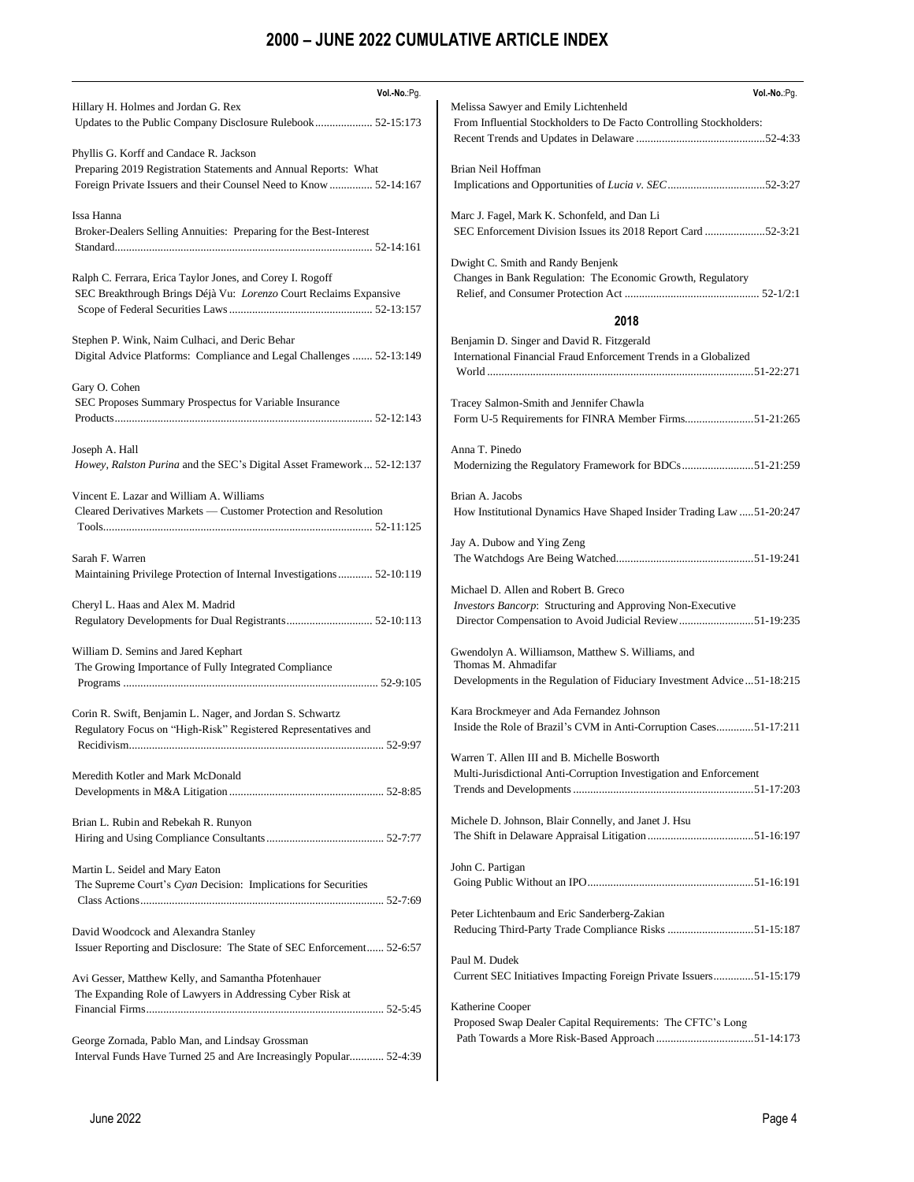| Vol.-No.:Pg.                                                                                                     | Vol.-No.:Pg.                                                             |
|------------------------------------------------------------------------------------------------------------------|--------------------------------------------------------------------------|
| Hillary H. Holmes and Jordan G. Rex                                                                              | Melissa Sawyer and Emily Lichtenheld                                     |
|                                                                                                                  | From Influential Stockholders to De Facto Controlling Stockholders:      |
|                                                                                                                  |                                                                          |
| Phyllis G. Korff and Candace R. Jackson                                                                          |                                                                          |
| Preparing 2019 Registration Statements and Annual Reports: What                                                  | Brian Neil Hoffman                                                       |
| Foreign Private Issuers and their Counsel Need to Know  52-14:167                                                |                                                                          |
| Issa Hanna                                                                                                       | Marc J. Fagel, Mark K. Schonfeld, and Dan Li                             |
| Broker-Dealers Selling Annuities: Preparing for the Best-Interest                                                | SEC Enforcement Division Issues its 2018 Report Card 52-3:21             |
|                                                                                                                  |                                                                          |
|                                                                                                                  | Dwight C. Smith and Randy Benjenk                                        |
| Ralph C. Ferrara, Erica Taylor Jones, and Corey I. Rogoff                                                        | Changes in Bank Regulation: The Economic Growth, Regulatory              |
| SEC Breakthrough Brings Déjà Vu: Lorenzo Court Reclaims Expansive                                                |                                                                          |
|                                                                                                                  |                                                                          |
|                                                                                                                  | 2018                                                                     |
| Stephen P. Wink, Naim Culhaci, and Deric Behar                                                                   | Benjamin D. Singer and David R. Fitzgerald                               |
| Digital Advice Platforms: Compliance and Legal Challenges  52-13:149                                             | International Financial Fraud Enforcement Trends in a Globalized         |
|                                                                                                                  |                                                                          |
| Gary O. Cohen                                                                                                    |                                                                          |
| SEC Proposes Summary Prospectus for Variable Insurance                                                           | Tracey Salmon-Smith and Jennifer Chawla                                  |
|                                                                                                                  | Form U-5 Requirements for FINRA Member Firms51-21:265                    |
| Joseph A. Hall                                                                                                   | Anna T. Pinedo                                                           |
| Howey, Ralston Purina and the SEC's Digital Asset Framework  52-12:137                                           | Modernizing the Regulatory Framework for BDCs51-21:259                   |
|                                                                                                                  |                                                                          |
| Vincent E. Lazar and William A. Williams                                                                         | Brian A. Jacobs                                                          |
| Cleared Derivatives Markets — Customer Protection and Resolution                                                 | How Institutional Dynamics Have Shaped Insider Trading Law 51-20:247     |
|                                                                                                                  |                                                                          |
|                                                                                                                  | Jay A. Dubow and Ying Zeng                                               |
| Sarah F. Warren                                                                                                  |                                                                          |
| Maintaining Privilege Protection of Internal Investigations 52-10:119                                            |                                                                          |
|                                                                                                                  | Michael D. Allen and Robert B. Greco                                     |
| Cheryl L. Haas and Alex M. Madrid                                                                                | Investors Bancorp: Structuring and Approving Non-Executive               |
|                                                                                                                  | Director Compensation to Avoid Judicial Review51-19:235                  |
| William D. Semins and Jared Kephart                                                                              | Gwendolyn A. Williamson, Matthew S. Williams, and                        |
| The Growing Importance of Fully Integrated Compliance                                                            | Thomas M. Ahmadifar                                                      |
|                                                                                                                  | Developments in the Regulation of Fiduciary Investment Advice  51-18:215 |
|                                                                                                                  |                                                                          |
| Corin R. Swift, Benjamin L. Nager, and Jordan S. Schwartz                                                        | Kara Brockmeyer and Ada Fernandez Johnson                                |
| Regulatory Focus on "High-Risk" Registered Representatives and                                                   | Inside the Role of Brazil's CVM in Anti-Corruption Cases51-17:211        |
|                                                                                                                  |                                                                          |
|                                                                                                                  | Warren T. Allen III and B. Michelle Bosworth                             |
| Meredith Kotler and Mark McDonald                                                                                | Multi-Jurisdictional Anti-Corruption Investigation and Enforcement       |
|                                                                                                                  |                                                                          |
| Brian L. Rubin and Rebekah R. Runyon                                                                             | Michele D. Johnson, Blair Connelly, and Janet J. Hsu                     |
|                                                                                                                  |                                                                          |
|                                                                                                                  |                                                                          |
| Martin L. Seidel and Mary Eaton                                                                                  | John C. Partigan                                                         |
| The Supreme Court's Cyan Decision: Implications for Securities                                                   |                                                                          |
|                                                                                                                  |                                                                          |
|                                                                                                                  | Peter Lichtenbaum and Eric Sanderberg-Zakian                             |
| David Woodcock and Alexandra Stanley                                                                             |                                                                          |
| Issuer Reporting and Disclosure: The State of SEC Enforcement 52-6:57                                            | Paul M. Dudek                                                            |
|                                                                                                                  | Current SEC Initiatives Impacting Foreign Private Issuers51-15:179       |
| Avi Gesser, Matthew Kelly, and Samantha Pfotenhauer<br>The Expanding Role of Lawyers in Addressing Cyber Risk at |                                                                          |
|                                                                                                                  | Katherine Cooper                                                         |
|                                                                                                                  | Proposed Swap Dealer Capital Requirements: The CFTC's Long               |
| George Zornada, Pablo Man, and Lindsay Grossman                                                                  |                                                                          |
| Interval Funds Have Turned 25 and Are Increasingly Popular 52-4:39                                               |                                                                          |
|                                                                                                                  |                                                                          |
|                                                                                                                  |                                                                          |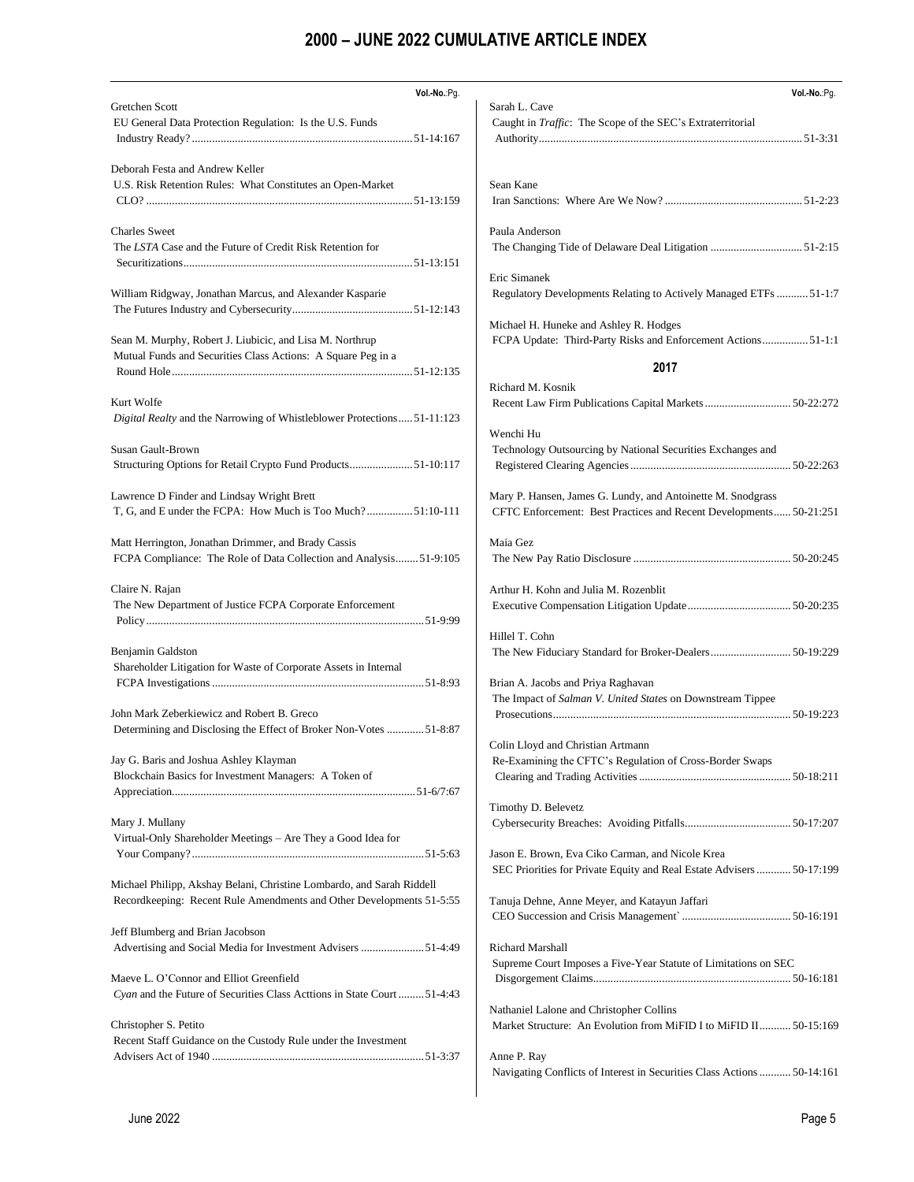| Vol.-No.:Pg.                                                                                     | Vol.-No.:Pg.                                                                                     |
|--------------------------------------------------------------------------------------------------|--------------------------------------------------------------------------------------------------|
| <b>Gretchen Scott</b>                                                                            | Sarah L. Cave                                                                                    |
| EU General Data Protection Regulation: Is the U.S. Funds                                         | Caught in <i>Traffic</i> : The Scope of the SEC's Extraterritorial                               |
|                                                                                                  |                                                                                                  |
| Deborah Festa and Andrew Keller                                                                  |                                                                                                  |
| U.S. Risk Retention Rules: What Constitutes an Open-Market                                       | Sean Kane                                                                                        |
|                                                                                                  |                                                                                                  |
| <b>Charles</b> Sweet                                                                             | Paula Anderson                                                                                   |
| The LSTA Case and the Future of Credit Risk Retention for                                        |                                                                                                  |
|                                                                                                  |                                                                                                  |
|                                                                                                  | Eric Simanek                                                                                     |
| William Ridgway, Jonathan Marcus, and Alexander Kasparie                                         | Regulatory Developments Relating to Actively Managed ETFs  51-1:7                                |
|                                                                                                  |                                                                                                  |
|                                                                                                  | Michael H. Huneke and Ashley R. Hodges                                                           |
| Sean M. Murphy, Robert J. Liubicic, and Lisa M. Northrup                                         | FCPA Update: Third-Party Risks and Enforcement Actions 51-1:1                                    |
| Mutual Funds and Securities Class Actions: A Square Peg in a                                     |                                                                                                  |
|                                                                                                  | 2017                                                                                             |
|                                                                                                  | Richard M. Kosnik                                                                                |
| Kurt Wolfe                                                                                       |                                                                                                  |
| Digital Realty and the Narrowing of Whistleblower Protections51-11:123                           |                                                                                                  |
|                                                                                                  | Wenchi Hu                                                                                        |
| Susan Gault-Brown                                                                                | Technology Outsourcing by National Securities Exchanges and                                      |
| Structuring Options for Retail Crypto Fund Products51-10:117                                     |                                                                                                  |
| Lawrence D Finder and Lindsay Wright Brett                                                       | Mary P. Hansen, James G. Lundy, and Antoinette M. Snodgrass                                      |
| T, G, and E under the FCPA: How Much is Too Much?51:10-111                                       | CFTC Enforcement: Best Practices and Recent Developments 50-21:251                               |
|                                                                                                  |                                                                                                  |
| Matt Herrington, Jonathan Drimmer, and Brady Cassis                                              | Maia Gez                                                                                         |
| FCPA Compliance: The Role of Data Collection and Analysis51-9:105                                |                                                                                                  |
|                                                                                                  |                                                                                                  |
| Claire N. Rajan                                                                                  | Arthur H. Kohn and Julia M. Rozenblit                                                            |
| The New Department of Justice FCPA Corporate Enforcement                                         |                                                                                                  |
|                                                                                                  |                                                                                                  |
|                                                                                                  | Hillel T. Cohn                                                                                   |
| Benjamin Galdston                                                                                |                                                                                                  |
| Shareholder Litigation for Waste of Corporate Assets in Internal                                 |                                                                                                  |
|                                                                                                  | Brian A. Jacobs and Priya Raghavan<br>The Impact of Salman V. United States on Downstream Tippee |
| John Mark Zeberkiewicz and Robert B. Greco                                                       |                                                                                                  |
| Determining and Disclosing the Effect of Broker Non-Votes 51-8:87                                |                                                                                                  |
|                                                                                                  | Colin Lloyd and Christian Artmann                                                                |
| Jay G. Baris and Joshua Ashley Klayman                                                           | Re-Examining the CFTC's Regulation of Cross-Border Swaps                                         |
| Blockchain Basics for Investment Managers: A Token of                                            |                                                                                                  |
|                                                                                                  |                                                                                                  |
|                                                                                                  | Timothy D. Belevetz                                                                              |
| Mary J. Mullany                                                                                  |                                                                                                  |
| Virtual-Only Shareholder Meetings - Are They a Good Idea for                                     |                                                                                                  |
|                                                                                                  | Jason E. Brown, Eva Ciko Carman, and Nicole Krea                                                 |
|                                                                                                  | SEC Priorities for Private Equity and Real Estate Advisers 50-17:199                             |
| Michael Philipp, Akshay Belani, Christine Lombardo, and Sarah Riddell                            |                                                                                                  |
| Recordkeeping: Recent Rule Amendments and Other Developments 51-5:55                             | Tanuja Dehne, Anne Meyer, and Katayun Jaffari                                                    |
|                                                                                                  |                                                                                                  |
| Jeff Blumberg and Brian Jacobson<br>Advertising and Social Media for Investment Advisers 51-4:49 | Richard Marshall                                                                                 |
|                                                                                                  | Supreme Court Imposes a Five-Year Statute of Limitations on SEC                                  |
| Maeve L. O'Connor and Elliot Greenfield                                                          |                                                                                                  |
| Cyan and the Future of Securities Class Acttions in State Court 51-4:43                          |                                                                                                  |
|                                                                                                  | Nathaniel Lalone and Christopher Collins                                                         |
| Christopher S. Petito                                                                            | Market Structure: An Evolution from MiFID I to MiFID II 50-15:169                                |
| Recent Staff Guidance on the Custody Rule under the Investment                                   |                                                                                                  |
|                                                                                                  | Anne P. Ray                                                                                      |
|                                                                                                  | Navigating Conflicts of Interest in Securities Class Actions  50-14:161                          |
|                                                                                                  |                                                                                                  |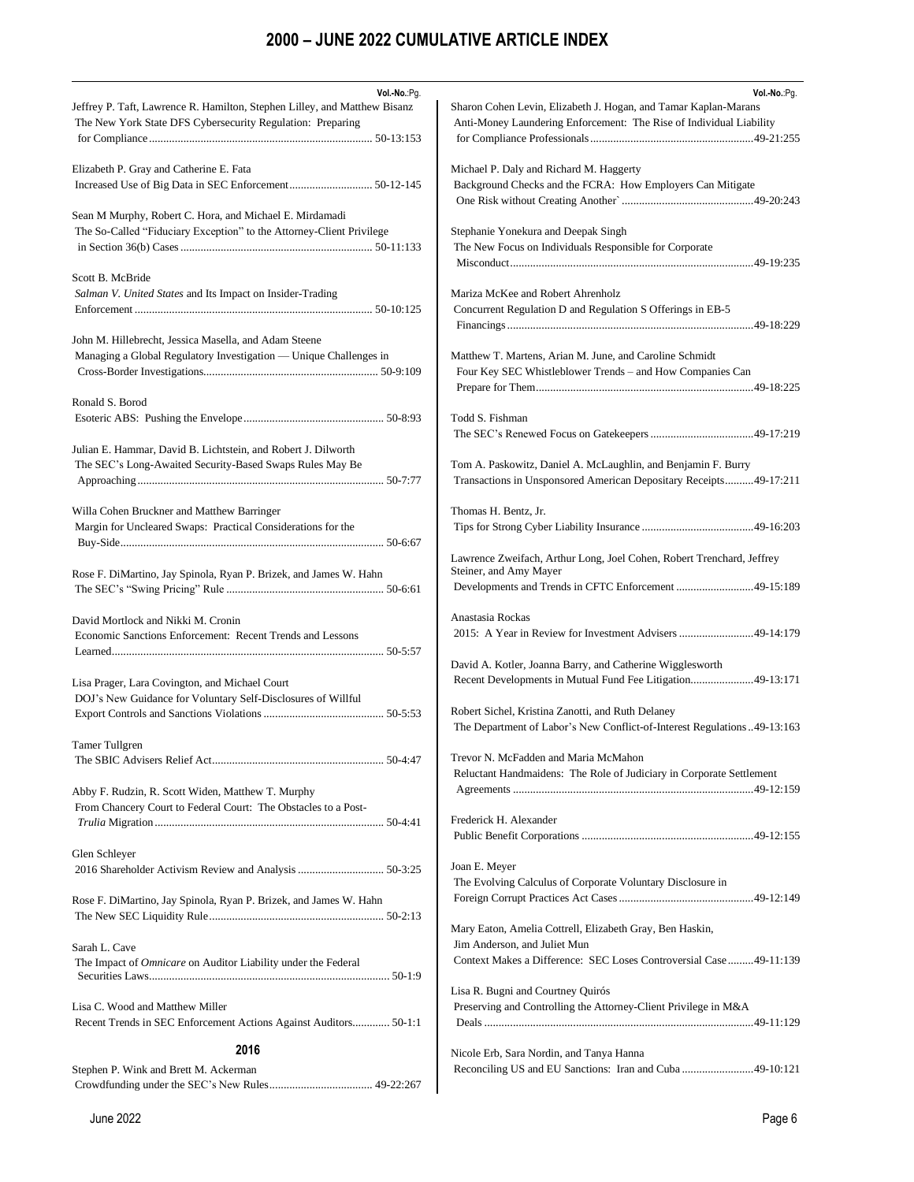| Vol .- No .: Pg.<br>Jeffrey P. Taft, Lawrence R. Hamilton, Stephen Lilley, and Matthew Bisanz<br>The New York State DFS Cybersecurity Regulation: Preparing | Vol.-No.:Pg.<br>Sharon Cohen Levin, Elizabeth J. Hogan, and Tamar Kaplan-Marans<br>Anti-Money Laundering Enforcement: The Rise of Individual Liability                       |
|-------------------------------------------------------------------------------------------------------------------------------------------------------------|------------------------------------------------------------------------------------------------------------------------------------------------------------------------------|
| Elizabeth P. Gray and Catherine E. Fata                                                                                                                     | Michael P. Daly and Richard M. Haggerty<br>Background Checks and the FCRA: How Employers Can Mitigate<br>One Risk without Creating Another manufactured and 49-20:243        |
| Sean M Murphy, Robert C. Hora, and Michael E. Mirdamadi<br>The So-Called "Fiduciary Exception" to the Attorney-Client Privilege                             | Stephanie Yonekura and Deepak Singh<br>The New Focus on Individuals Responsible for Corporate                                                                                |
| Scott B. McBride<br>Salman V. United States and Its Impact on Insider-Trading                                                                               | Mariza McKee and Robert Ahrenholz<br>Concurrent Regulation D and Regulation S Offerings in EB-5                                                                              |
| John M. Hillebrecht, Jessica Masella, and Adam Steene<br>Managing a Global Regulatory Investigation — Unique Challenges in                                  | Matthew T. Martens, Arian M. June, and Caroline Schmidt<br>Four Key SEC Whistleblower Trends – and How Companies Can                                                         |
| Ronald S. Borod                                                                                                                                             | Todd S. Fishman                                                                                                                                                              |
| Julian E. Hammar, David B. Lichtstein, and Robert J. Dilworth<br>The SEC's Long-Awaited Security-Based Swaps Rules May Be                                   | Tom A. Paskowitz, Daniel A. McLaughlin, and Benjamin F. Burry<br>Transactions in Unsponsored American Depositary Receipts49-17:211                                           |
| Willa Cohen Bruckner and Matthew Barringer<br>Margin for Uncleared Swaps: Practical Considerations for the                                                  | Thomas H. Bentz, Jr.                                                                                                                                                         |
| Rose F. DiMartino, Jay Spinola, Ryan P. Brizek, and James W. Hahn                                                                                           | Lawrence Zweifach, Arthur Long, Joel Cohen, Robert Trenchard, Jeffrey<br>Steiner, and Amy Mayer<br>Developments and Trends in CFTC Enforcement 49-15:189                     |
| David Mortlock and Nikki M. Cronin<br>Economic Sanctions Enforcement: Recent Trends and Lessons                                                             | Anastasia Rockas<br>2015: A Year in Review for Investment Advisers 49-14:179                                                                                                 |
| Lisa Prager, Lara Covington, and Michael Court<br>DOJ's New Guidance for Voluntary Self-Disclosures of Willful                                              | David A. Kotler, Joanna Barry, and Catherine Wigglesworth<br>Recent Developments in Mutual Fund Fee Litigation49-13:171<br>Robert Sichel, Kristina Zanotti, and Ruth Delaney |
| <b>Tamer Tullgren</b>                                                                                                                                       | The Department of Labor's New Conflict-of-Interest Regulations49-13:163<br>Trevor N. McFadden and Maria McMahon                                                              |
| Abby F. Rudzin, R. Scott Widen, Matthew T. Murphy<br>From Chancery Court to Federal Court: The Obstacles to a Post-                                         | Reluctant Handmaidens: The Role of Judiciary in Corporate Settlement                                                                                                         |
|                                                                                                                                                             | Frederick H. Alexander                                                                                                                                                       |
| Glen Schleyer                                                                                                                                               | Joan E. Meyer<br>The Evolving Calculus of Corporate Voluntary Disclosure in                                                                                                  |
| Rose F. DiMartino, Jay Spinola, Ryan P. Brizek, and James W. Hahn                                                                                           | Mary Eaton, Amelia Cottrell, Elizabeth Gray, Ben Haskin,                                                                                                                     |
| Sarah L. Cave<br>The Impact of Omnicare on Auditor Liability under the Federal                                                                              | Jim Anderson, and Juliet Mun<br>Context Makes a Difference: SEC Loses Controversial Case49-11:139                                                                            |
| Lisa C. Wood and Matthew Miller<br>Recent Trends in SEC Enforcement Actions Against Auditors 50-1:1                                                         | Lisa R. Bugni and Courtney Quirós<br>Preserving and Controlling the Attorney-Client Privilege in M&A                                                                         |
| 2016                                                                                                                                                        |                                                                                                                                                                              |
|                                                                                                                                                             | Nicole Erb, Sara Nordin, and Tanya Hanna                                                                                                                                     |
| Stephen P. Wink and Brett M. Ackerman                                                                                                                       | Reconciling US and EU Sanctions: Iran and Cuba 49-10:121                                                                                                                     |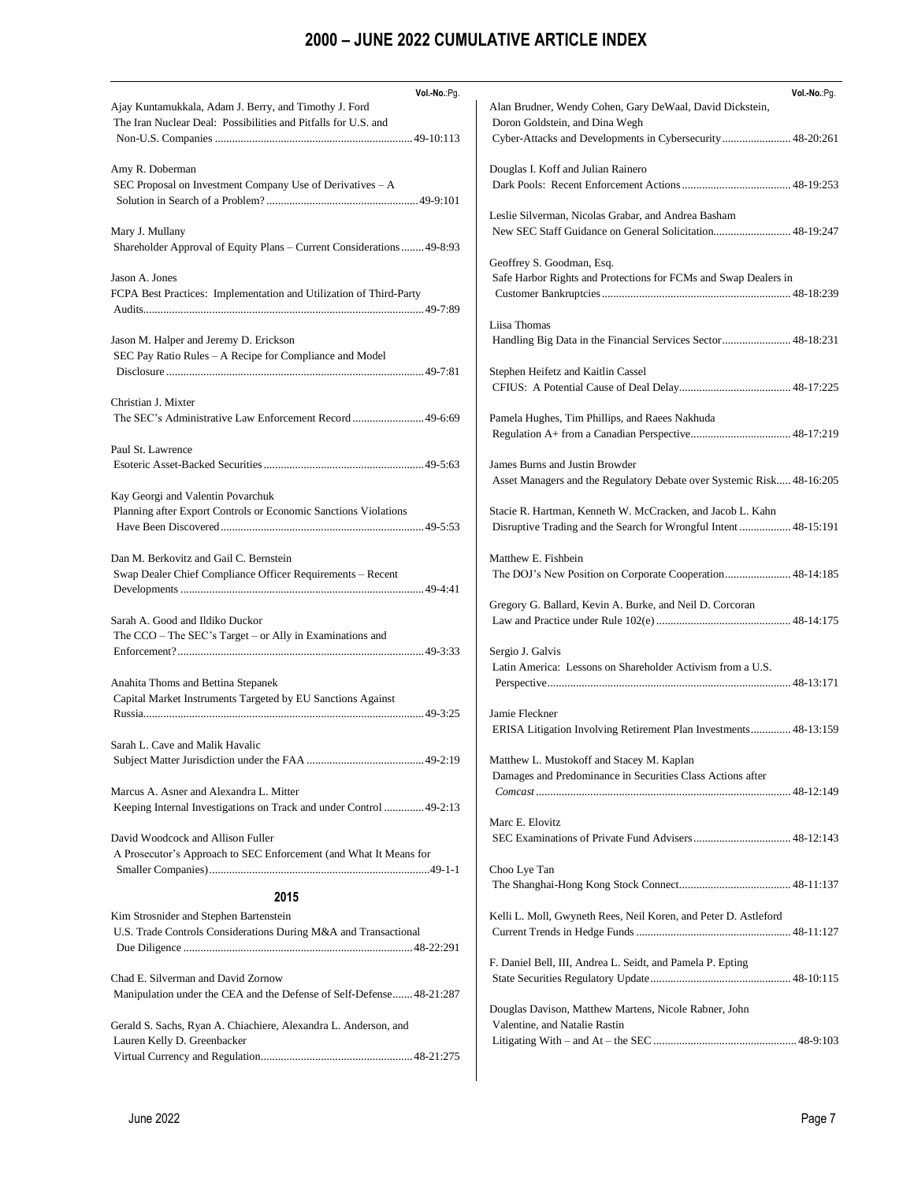| Vol.-No.:Pg.                                                          | Vol.-No.:Pg.                                                          |
|-----------------------------------------------------------------------|-----------------------------------------------------------------------|
| Ajay Kuntamukkala, Adam J. Berry, and Timothy J. Ford                 | Alan Brudner, Wendy Cohen, Gary DeWaal, David Dickstein,              |
| The Iran Nuclear Deal: Possibilities and Pitfalls for U.S. and        | Doron Goldstein, and Dina Wegh                                        |
|                                                                       | Cyber-Attacks and Developments in Cybersecurity 48-20:261             |
| Amy R. Doberman                                                       | Douglas I. Koff and Julian Rainero                                    |
| SEC Proposal on Investment Company Use of Derivatives – A             |                                                                       |
|                                                                       |                                                                       |
|                                                                       | Leslie Silverman, Nicolas Grabar, and Andrea Basham                   |
| Mary J. Mullany                                                       | New SEC Staff Guidance on General Solicitation 48-19:247              |
| Shareholder Approval of Equity Plans – Current Considerations 49-8:93 |                                                                       |
|                                                                       | Geoffrey S. Goodman, Esq.                                             |
| Jason A. Jones                                                        | Safe Harbor Rights and Protections for FCMs and Swap Dealers in       |
| FCPA Best Practices: Implementation and Utilization of Third-Party    |                                                                       |
|                                                                       | Liisa Thomas                                                          |
| Jason M. Halper and Jeremy D. Erickson                                | Handling Big Data in the Financial Services Sector 48-18:231          |
| SEC Pay Ratio Rules – A Recipe for Compliance and Model               |                                                                       |
|                                                                       | Stephen Heifetz and Kaitlin Cassel                                    |
|                                                                       |                                                                       |
| Christian J. Mixter                                                   |                                                                       |
| The SEC's Administrative Law Enforcement Record  49-6:69              | Pamela Hughes, Tim Phillips, and Raees Nakhuda                        |
|                                                                       |                                                                       |
| Paul St. Lawrence                                                     |                                                                       |
|                                                                       | James Burns and Justin Browder                                        |
|                                                                       | Asset Managers and the Regulatory Debate over Systemic Risk 48-16:205 |
| Kay Georgi and Valentin Povarchuk                                     |                                                                       |
| Planning after Export Controls or Economic Sanctions Violations       | Stacie R. Hartman, Kenneth W. McCracken, and Jacob L. Kahn            |
|                                                                       | Disruptive Trading and the Search for Wrongful Intent 48-15:191       |
| Dan M. Berkovitz and Gail C. Bernstein                                | Matthew E. Fishbein                                                   |
| Swap Dealer Chief Compliance Officer Requirements – Recent            |                                                                       |
|                                                                       |                                                                       |
|                                                                       | Gregory G. Ballard, Kevin A. Burke, and Neil D. Corcoran              |
| Sarah A. Good and Ildiko Duckor                                       |                                                                       |
| The CCO - The SEC's Target - or Ally in Examinations and              |                                                                       |
|                                                                       | Sergio J. Galvis                                                      |
|                                                                       | Latin America: Lessons on Shareholder Activism from a U.S.            |
| Anahita Thoms and Bettina Stepanek                                    |                                                                       |
| Capital Market Instruments Targeted by EU Sanctions Against           |                                                                       |
|                                                                       | Jamie Fleckner                                                        |
|                                                                       | ERISA Litigation Involving Retirement Plan Investments 48-13:159      |
| Sarah L. Cave and Malik Havalic                                       |                                                                       |
|                                                                       | Matthew L. Mustokoff and Stacey M. Kaplan                             |
|                                                                       | Damages and Predominance in Securities Class Actions after            |
| Marcus A. Asner and Alexandra L. Mitter                               |                                                                       |
| Keeping Internal Investigations on Track and under Control  49-2:13   |                                                                       |
|                                                                       | Marc E. Elovitz                                                       |
| David Woodcock and Allison Fuller                                     |                                                                       |
| A Prosecutor's Approach to SEC Enforcement (and What It Means for     | Choo Lye Tan                                                          |
|                                                                       |                                                                       |
| 2015                                                                  |                                                                       |
| Kim Strosnider and Stephen Bartenstein                                | Kelli L. Moll, Gwyneth Rees, Neil Koren, and Peter D. Astleford       |
| U.S. Trade Controls Considerations During M&A and Transactional       |                                                                       |
|                                                                       |                                                                       |
|                                                                       | F. Daniel Bell, III, Andrea L. Seidt, and Pamela P. Epting            |
| Chad E. Silverman and David Zornow                                    |                                                                       |
| Manipulation under the CEA and the Defense of Self-Defense48-21:287   |                                                                       |
|                                                                       | Douglas Davison, Matthew Martens, Nicole Rabner, John                 |
| Gerald S. Sachs, Ryan A. Chiachiere, Alexandra L. Anderson, and       | Valentine, and Natalie Rastin                                         |
| Lauren Kelly D. Greenbacker                                           |                                                                       |
|                                                                       |                                                                       |
|                                                                       |                                                                       |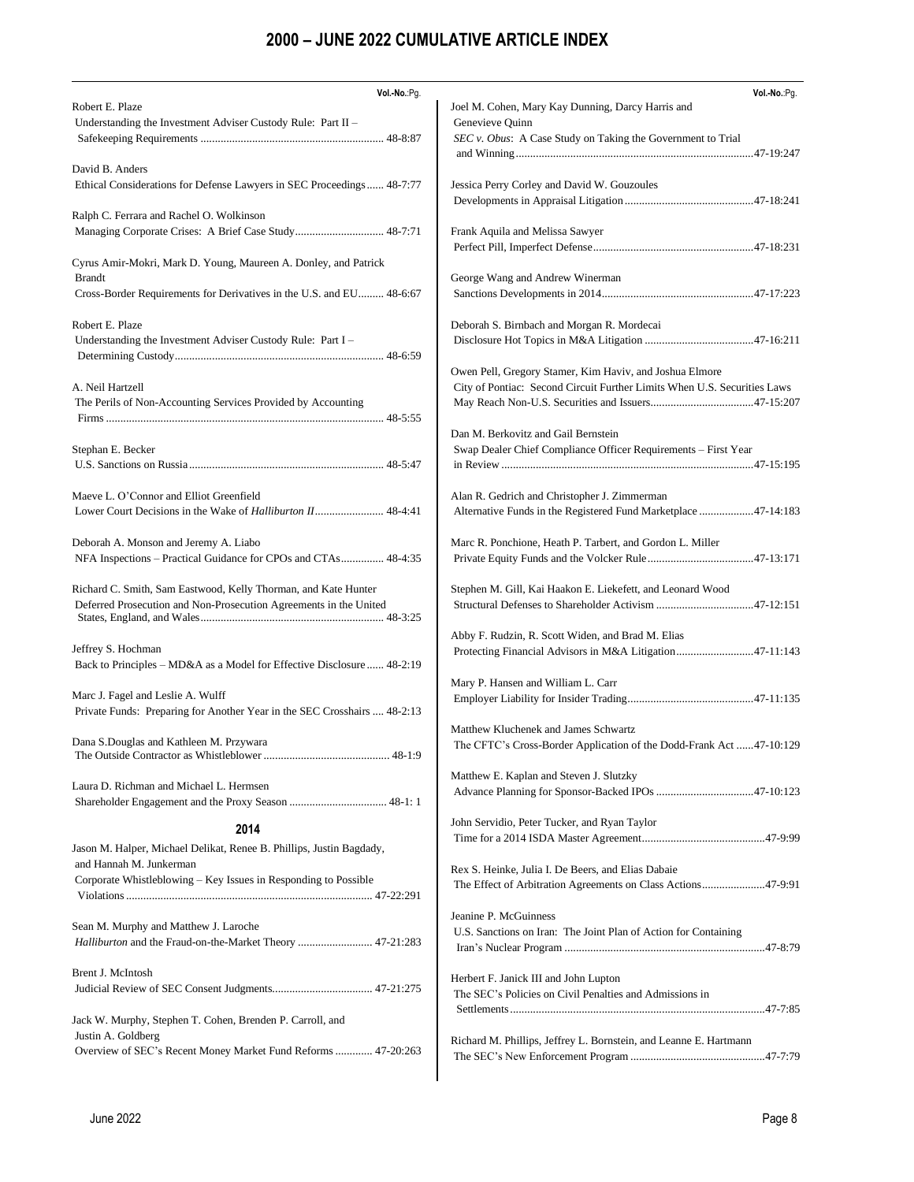| Vol.-No.:Pg.                                                                                       | Vol.-No.:Pg.                                                             |
|----------------------------------------------------------------------------------------------------|--------------------------------------------------------------------------|
| Robert E. Plaze                                                                                    | Joel M. Cohen, Mary Kay Dunning, Darcy Harris and                        |
| Understanding the Investment Adviser Custody Rule: Part II -                                       | Genevieve Quinn                                                          |
|                                                                                                    | SEC v. Obus: A Case Study on Taking the Government to Trial              |
| David B. Anders                                                                                    |                                                                          |
| Ethical Considerations for Defense Lawyers in SEC Proceedings 48-7:77                              | Jessica Perry Corley and David W. Gouzoules                              |
|                                                                                                    |                                                                          |
| Ralph C. Ferrara and Rachel O. Wolkinson                                                           |                                                                          |
| Managing Corporate Crises: A Brief Case Study 48-7:71                                              | Frank Aquila and Melissa Sawyer                                          |
| Cyrus Amir-Mokri, Mark D. Young, Maureen A. Donley, and Patrick                                    |                                                                          |
| <b>Brandt</b>                                                                                      | George Wang and Andrew Winerman                                          |
| Cross-Border Requirements for Derivatives in the U.S. and EU 48-6:67                               |                                                                          |
|                                                                                                    |                                                                          |
| Robert E. Plaze                                                                                    | Deborah S. Birnbach and Morgan R. Mordecai                               |
| Understanding the Investment Adviser Custody Rule: Part I -                                        |                                                                          |
|                                                                                                    | Owen Pell, Gregory Stamer, Kim Haviv, and Joshua Elmore                  |
| A. Neil Hartzell                                                                                   | City of Pontiac: Second Circuit Further Limits When U.S. Securities Laws |
| The Perils of Non-Accounting Services Provided by Accounting                                       |                                                                          |
|                                                                                                    |                                                                          |
|                                                                                                    | Dan M. Berkovitz and Gail Bernstein                                      |
| Stephan E. Becker                                                                                  | Swap Dealer Chief Compliance Officer Requirements - First Year           |
|                                                                                                    |                                                                          |
| Maeve L. O'Connor and Elliot Greenfield                                                            | Alan R. Gedrich and Christopher J. Zimmerman                             |
| Lower Court Decisions in the Wake of Halliburton II 48-4:41                                        | Alternative Funds in the Registered Fund Marketplace 47-14:183           |
|                                                                                                    |                                                                          |
| Deborah A. Monson and Jeremy A. Liabo                                                              | Marc R. Ponchione, Heath P. Tarbert, and Gordon L. Miller                |
| NFA Inspections - Practical Guidance for CPOs and CTAs 48-4:35                                     |                                                                          |
| Richard C. Smith, Sam Eastwood, Kelly Thorman, and Kate Hunter                                     | Stephen M. Gill, Kai Haakon E. Liekefett, and Leonard Wood               |
| Deferred Prosecution and Non-Prosecution Agreements in the United                                  | Structural Defenses to Shareholder Activism 47-12:151                    |
|                                                                                                    |                                                                          |
| Jeffrey S. Hochman                                                                                 | Abby F. Rudzin, R. Scott Widen, and Brad M. Elias                        |
| Back to Principles – MD&A as a Model for Effective Disclosure  48-2:19                             | Protecting Financial Advisors in M&A Litigation47-11:143                 |
|                                                                                                    | Mary P. Hansen and William L. Carr                                       |
| Marc J. Fagel and Leslie A. Wulff                                                                  |                                                                          |
| Private Funds: Preparing for Another Year in the SEC Crosshairs  48-2:13                           |                                                                          |
|                                                                                                    | Matthew Kluchenek and James Schwartz                                     |
| Dana S.Douglas and Kathleen M. Przywara                                                            | The CFTC's Cross-Border Application of the Dodd-Frank Act47-10:129       |
|                                                                                                    | Matthew E. Kaplan and Steven J. Slutzky                                  |
| Laura D. Richman and Michael L. Hermsen                                                            |                                                                          |
|                                                                                                    |                                                                          |
| 2014                                                                                               | John Servidio, Peter Tucker, and Ryan Taylor                             |
| Jason M. Halper, Michael Delikat, Renee B. Phillips, Justin Bagdady,                               |                                                                          |
| and Hannah M. Junkerman                                                                            | Rex S. Heinke, Julia I. De Beers, and Elias Dabaie                       |
| Corporate Whistleblowing - Key Issues in Responding to Possible                                    | The Effect of Arbitration Agreements on Class Actions47-9:91             |
|                                                                                                    |                                                                          |
|                                                                                                    | Jeanine P. McGuinness                                                    |
| Sean M. Murphy and Matthew J. Laroche<br>Halliburton and the Fraud-on-the-Market Theory  47-21:283 | U.S. Sanctions on Iran: The Joint Plan of Action for Containing          |
|                                                                                                    |                                                                          |
| Brent J. McIntosh                                                                                  | Herbert F. Janick III and John Lupton                                    |
|                                                                                                    | The SEC's Policies on Civil Penalties and Admissions in                  |
|                                                                                                    |                                                                          |
| Jack W. Murphy, Stephen T. Cohen, Brenden P. Carroll, and                                          |                                                                          |
| Justin A. Goldberg<br>Overview of SEC's Recent Money Market Fund Reforms  47-20:263                | Richard M. Phillips, Jeffrey L. Bornstein, and Leanne E. Hartmann        |
|                                                                                                    |                                                                          |
|                                                                                                    |                                                                          |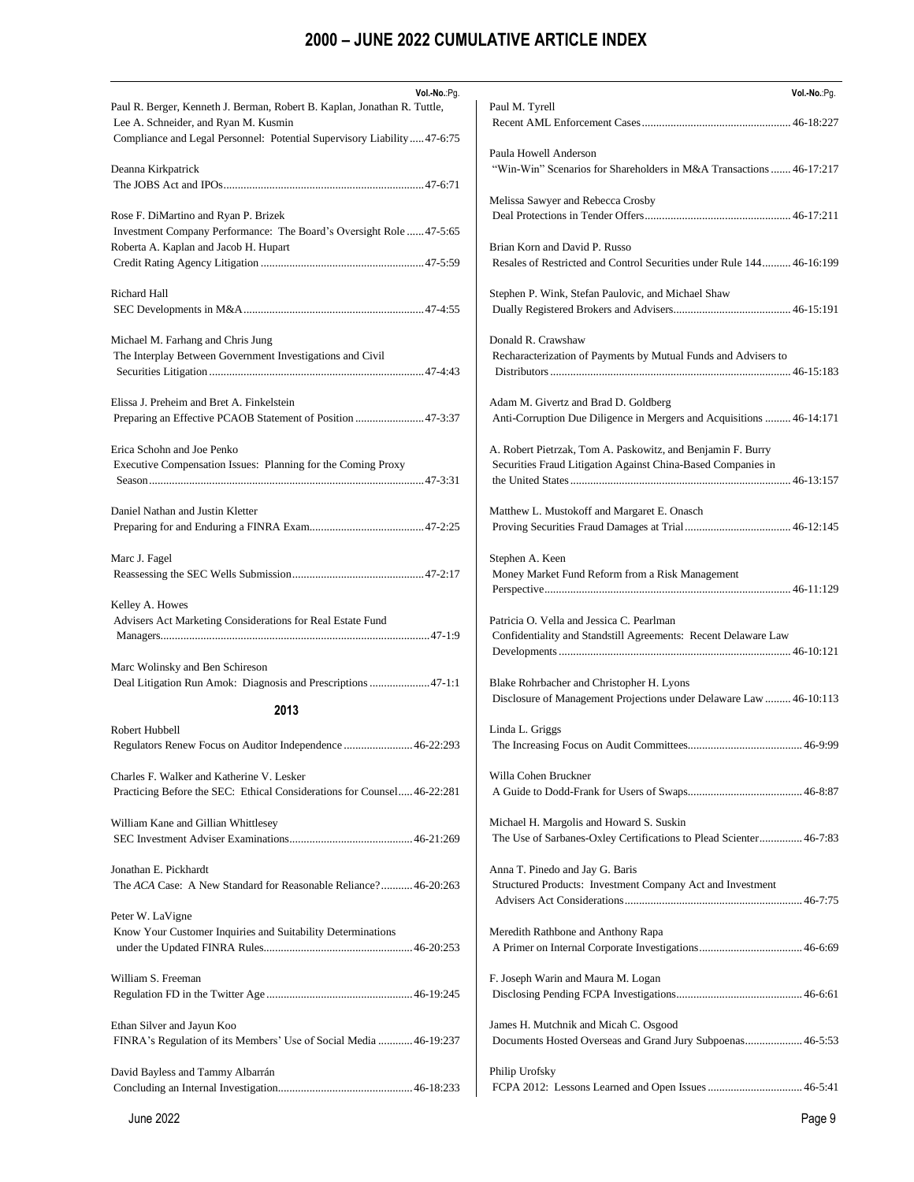| Vol.-No.:Pg.                                                                                                     | Vol.-No.:Pg.                                                                                                                |
|------------------------------------------------------------------------------------------------------------------|-----------------------------------------------------------------------------------------------------------------------------|
| Paul R. Berger, Kenneth J. Berman, Robert B. Kaplan, Jonathan R. Tuttle,<br>Lee A. Schneider, and Ryan M. Kusmin | Paul M. Tyrell                                                                                                              |
| Compliance and Legal Personnel: Potential Supervisory Liability47-6:75                                           | Paula Howell Anderson                                                                                                       |
| Deanna Kirkpatrick                                                                                               | "Win-Win" Scenarios for Shareholders in M&A Transactions  46-17:217                                                         |
|                                                                                                                  | Melissa Sawyer and Rebecca Crosby                                                                                           |
| Rose F. DiMartino and Ryan P. Brizek<br>Investment Company Performance: The Board's Oversight Role  47-5:65      |                                                                                                                             |
| Roberta A. Kaplan and Jacob H. Hupart                                                                            | Brian Korn and David P. Russo                                                                                               |
|                                                                                                                  | Resales of Restricted and Control Securities under Rule 144 46-16:199                                                       |
| <b>Richard Hall</b>                                                                                              | Stephen P. Wink, Stefan Paulovic, and Michael Shaw                                                                          |
|                                                                                                                  |                                                                                                                             |
| Michael M. Farhang and Chris Jung                                                                                | Donald R. Crawshaw                                                                                                          |
| The Interplay Between Government Investigations and Civil                                                        | Recharacterization of Payments by Mutual Funds and Advisers to                                                              |
| Elissa J. Preheim and Bret A. Finkelstein                                                                        | Adam M. Givertz and Brad D. Goldberg                                                                                        |
| Preparing an Effective PCAOB Statement of Position  47-3:37                                                      | Anti-Corruption Due Diligence in Mergers and Acquisitions  46-14:171                                                        |
| Erica Schohn and Joe Penko<br>Executive Compensation Issues: Planning for the Coming Proxy                       | A. Robert Pietrzak, Tom A. Paskowitz, and Benjamin F. Burry<br>Securities Fraud Litigation Against China-Based Companies in |
| Daniel Nathan and Justin Kletter                                                                                 | Matthew L. Mustokoff and Margaret E. Onasch                                                                                 |
| Marc J. Fagel                                                                                                    | Stephen A. Keen<br>Money Market Fund Reform from a Risk Management                                                          |
| Kelley A. Howes<br>Advisers Act Marketing Considerations for Real Estate Fund                                    | Patricia O. Vella and Jessica C. Pearlman<br>Confidentiality and Standstill Agreements: Recent Delaware Law                 |
| Marc Wolinsky and Ben Schireson                                                                                  |                                                                                                                             |
| Deal Litigation Run Amok: Diagnosis and Prescriptions 47-1:1                                                     | Blake Rohrbacher and Christopher H. Lyons<br>Disclosure of Management Projections under Delaware Law  46-10:113             |
| 2013                                                                                                             |                                                                                                                             |
| Robert Hubbell<br>Regulators Renew Focus on Auditor Independence  46-22:293                                      | Linda L. Griggs<br>46-9:99                                                                                                  |
| Charles F. Walker and Katherine V. Lesker                                                                        | Willa Cohen Bruckner                                                                                                        |
| Practicing Before the SEC: Ethical Considerations for Counsel46-22:281                                           |                                                                                                                             |
| William Kane and Gillian Whittlesey                                                                              | Michael H. Margolis and Howard S. Suskin                                                                                    |
|                                                                                                                  | The Use of Sarbanes-Oxley Certifications to Plead Scienter 46-7:83                                                          |
| Jonathan E. Pickhardt                                                                                            | Anna T. Pinedo and Jay G. Baris                                                                                             |
| The ACA Case: A New Standard for Reasonable Reliance?46-20:263                                                   | Structured Products: Investment Company Act and Investment                                                                  |
|                                                                                                                  |                                                                                                                             |
| Peter W. LaVigne                                                                                                 |                                                                                                                             |
| Know Your Customer Inquiries and Suitability Determinations                                                      | Meredith Rathbone and Anthony Rapa                                                                                          |
|                                                                                                                  |                                                                                                                             |
| William S. Freeman                                                                                               | F. Joseph Warin and Maura M. Logan                                                                                          |
|                                                                                                                  |                                                                                                                             |
| Ethan Silver and Jayun Koo<br>FINRA's Regulation of its Members' Use of Social Media  46-19:237                  | James H. Mutchnik and Micah C. Osgood<br>Documents Hosted Overseas and Grand Jury Subpoenas 46-5:53                         |
| David Bayless and Tammy Albarrán                                                                                 | Philip Urofsky                                                                                                              |
|                                                                                                                  |                                                                                                                             |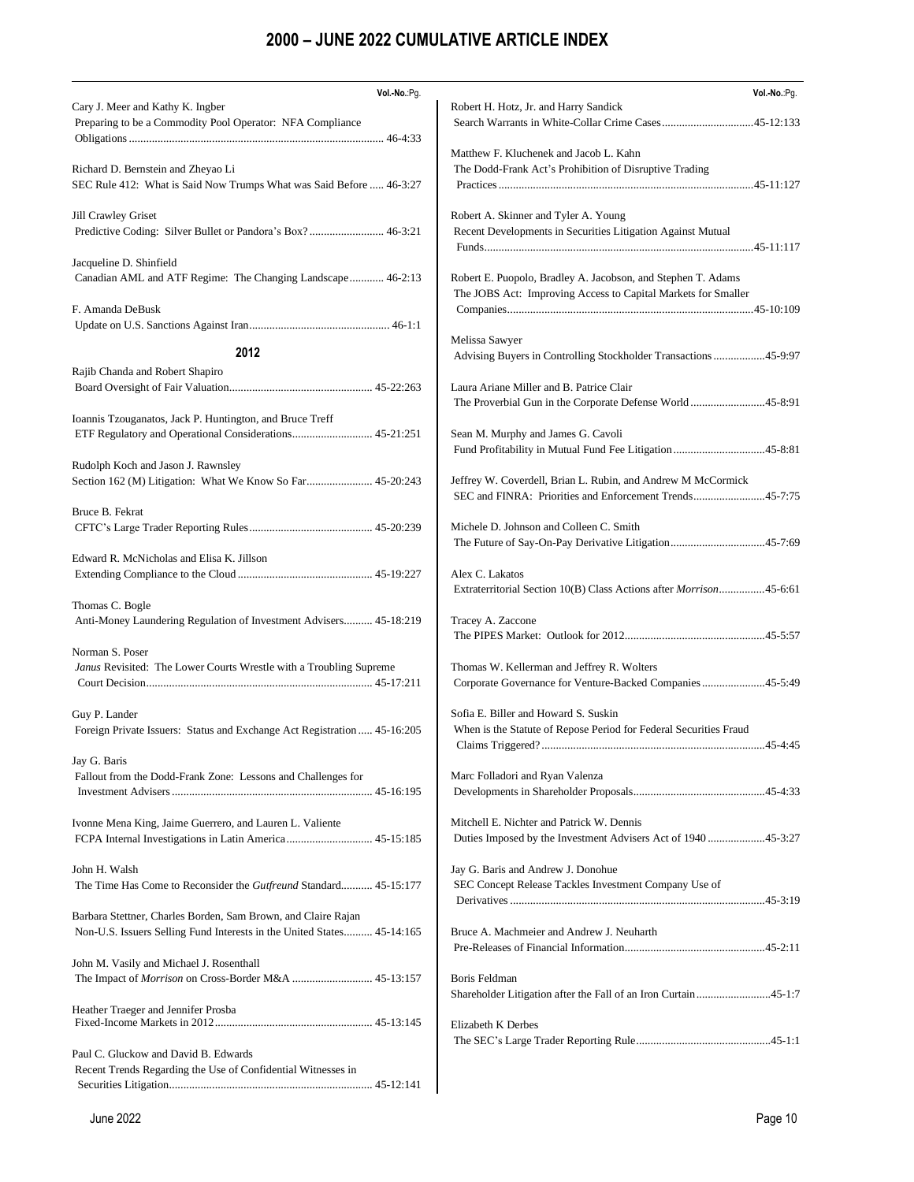| Vol .- No .: Pg.                                                                                          | Vol.-No.:Pg.                                                                                              |
|-----------------------------------------------------------------------------------------------------------|-----------------------------------------------------------------------------------------------------------|
| Cary J. Meer and Kathy K. Ingber<br>Preparing to be a Commodity Pool Operator: NFA Compliance             | Robert H. Hotz, Jr. and Harry Sandick                                                                     |
|                                                                                                           |                                                                                                           |
|                                                                                                           | Matthew F. Kluchenek and Jacob L. Kahn                                                                    |
| Richard D. Bernstein and Zheyao Li<br>SEC Rule 412: What is Said Now Trumps What was Said Before  46-3:27 | The Dodd-Frank Act's Prohibition of Disruptive Trading                                                    |
|                                                                                                           |                                                                                                           |
| Jill Crawley Griset                                                                                       | Robert A. Skinner and Tyler A. Young                                                                      |
| Predictive Coding: Silver Bullet or Pandora's Box? 46-3:21                                                | Recent Developments in Securities Litigation Against Mutual                                               |
|                                                                                                           |                                                                                                           |
| Jacqueline D. Shinfield                                                                                   |                                                                                                           |
| Canadian AML and ATF Regime: The Changing Landscape 46-2:13                                               | Robert E. Puopolo, Bradley A. Jacobson, and Stephen T. Adams                                              |
|                                                                                                           | The JOBS Act: Improving Access to Capital Markets for Smaller                                             |
| F. Amanda DeBusk                                                                                          |                                                                                                           |
|                                                                                                           |                                                                                                           |
|                                                                                                           | Melissa Sawyer                                                                                            |
| 2012                                                                                                      | Advising Buyers in Controlling Stockholder Transactions 45-9:97                                           |
| Rajib Chanda and Robert Shapiro                                                                           |                                                                                                           |
|                                                                                                           | Laura Ariane Miller and B. Patrice Clair                                                                  |
|                                                                                                           | The Proverbial Gun in the Corporate Defense World45-8:91                                                  |
| Ioannis Tzouganatos, Jack P. Huntington, and Bruce Treff                                                  |                                                                                                           |
| ETF Regulatory and Operational Considerations 45-21:251                                                   | Sean M. Murphy and James G. Cavoli                                                                        |
|                                                                                                           |                                                                                                           |
| Rudolph Koch and Jason J. Rawnsley                                                                        | Jeffrey W. Coverdell, Brian L. Rubin, and Andrew M McCormick                                              |
|                                                                                                           | SEC and FINRA: Priorities and Enforcement Trends45-7:75                                                   |
| Bruce B. Fekrat                                                                                           |                                                                                                           |
|                                                                                                           | Michele D. Johnson and Colleen C. Smith                                                                   |
|                                                                                                           |                                                                                                           |
| Edward R. McNicholas and Elisa K. Jillson                                                                 |                                                                                                           |
|                                                                                                           | Alex C. Lakatos                                                                                           |
|                                                                                                           | Extraterritorial Section 10(B) Class Actions after <i>Morrison</i> 45-6:61                                |
| Thomas C. Bogle                                                                                           |                                                                                                           |
| Anti-Money Laundering Regulation of Investment Advisers 45-18:219                                         | Tracey A. Zaccone                                                                                         |
|                                                                                                           |                                                                                                           |
| Norman S. Poser                                                                                           |                                                                                                           |
| Janus Revisited: The Lower Courts Wrestle with a Troubling Supreme                                        | Thomas W. Kellerman and Jeffrey R. Wolters                                                                |
|                                                                                                           | Corporate Governance for Venture-Backed Companies45-5:49                                                  |
|                                                                                                           |                                                                                                           |
| Guy P. Lander<br>Foreign Private Issuers: Status and Exchange Act Registration  45-16:205                 | Sofia E. Biller and Howard S. Suskin<br>When is the Statute of Repose Period for Federal Securities Fraud |
|                                                                                                           |                                                                                                           |
| Jay G. Baris                                                                                              |                                                                                                           |
| Fallout from the Dodd-Frank Zone: Lessons and Challenges for                                              | Marc Folladori and Ryan Valenza                                                                           |
|                                                                                                           |                                                                                                           |
|                                                                                                           |                                                                                                           |
| Ivonne Mena King, Jaime Guerrero, and Lauren L. Valiente                                                  | Mitchell E. Nichter and Patrick W. Dennis                                                                 |
|                                                                                                           | Duties Imposed by the Investment Advisers Act of 194045-3:27                                              |
|                                                                                                           |                                                                                                           |
| John H. Walsh                                                                                             | Jay G. Baris and Andrew J. Donohue                                                                        |
| The Time Has Come to Reconsider the <i>Gutfreund</i> Standard 45-15:177                                   | SEC Concept Release Tackles Investment Company Use of                                                     |
|                                                                                                           |                                                                                                           |
| Barbara Stettner, Charles Borden, Sam Brown, and Claire Rajan                                             |                                                                                                           |
| Non-U.S. Issuers Selling Fund Interests in the United States 45-14:165                                    | Bruce A. Machmeier and Andrew J. Neuharth                                                                 |
| John M. Vasily and Michael J. Rosenthall                                                                  |                                                                                                           |
|                                                                                                           | Boris Feldman                                                                                             |
|                                                                                                           | Shareholder Litigation after the Fall of an Iron Curtain45-1:7                                            |
| Heather Traeger and Jennifer Prosba                                                                       |                                                                                                           |
|                                                                                                           | Elizabeth K Derbes                                                                                        |
|                                                                                                           |                                                                                                           |
| Paul C. Gluckow and David B. Edwards                                                                      |                                                                                                           |
| Recent Trends Regarding the Use of Confidential Witnesses in                                              |                                                                                                           |
|                                                                                                           |                                                                                                           |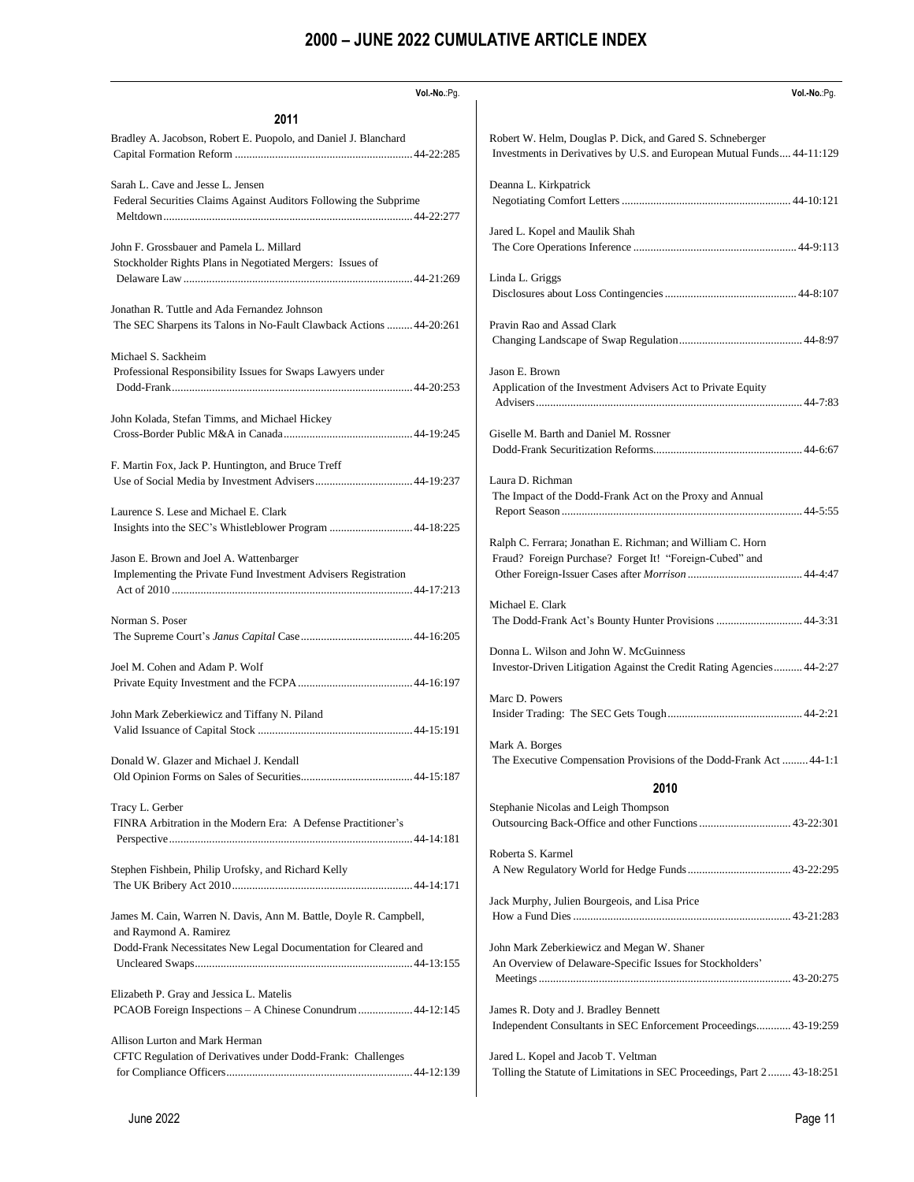| Vol.-No.:Pg.                                                                                              | Vol .- No.: Pq.                                                                                                |
|-----------------------------------------------------------------------------------------------------------|----------------------------------------------------------------------------------------------------------------|
| 2011                                                                                                      |                                                                                                                |
| Bradley A. Jacobson, Robert E. Puopolo, and Daniel J. Blanchard                                           | Robert W. Helm, Douglas P. Dick, and Gared S. Schneberger                                                      |
|                                                                                                           | Investments in Derivatives by U.S. and European Mutual Funds 44-11:129                                         |
| Sarah L. Cave and Jesse L. Jensen                                                                         | Deanna L. Kirkpatrick                                                                                          |
| Federal Securities Claims Against Auditors Following the Subprime                                         |                                                                                                                |
|                                                                                                           | Jared L. Kopel and Maulik Shah                                                                                 |
| John F. Grossbauer and Pamela L. Millard                                                                  |                                                                                                                |
| Stockholder Rights Plans in Negotiated Mergers: Issues of                                                 | Linda L. Griggs                                                                                                |
|                                                                                                           |                                                                                                                |
| Jonathan R. Tuttle and Ada Fernandez Johnson                                                              | Pravin Rao and Assad Clark                                                                                     |
| The SEC Sharpens its Talons in No-Fault Clawback Actions  44-20:261                                       |                                                                                                                |
| Michael S. Sackheim<br>Professional Responsibility Issues for Swaps Lawyers under                         | Jason E. Brown<br>Application of the Investment Advisers Act to Private Equity                                 |
| John Kolada, Stefan Timms, and Michael Hickey                                                             |                                                                                                                |
|                                                                                                           | Giselle M. Barth and Daniel M. Rossner                                                                         |
| F. Martin Fox, Jack P. Huntington, and Bruce Treff                                                        |                                                                                                                |
| Laurence S. Lese and Michael E. Clark                                                                     | Laura D. Richman<br>The Impact of the Dodd-Frank Act on the Proxy and Annual                                   |
|                                                                                                           | Ralph C. Ferrara; Jonathan E. Richman; and William C. Horn                                                     |
| Jason E. Brown and Joel A. Wattenbarger<br>Implementing the Private Fund Investment Advisers Registration | Fraud? Foreign Purchase? Forget It! "Foreign-Cubed" and                                                        |
| Norman S. Poser                                                                                           | Michael E. Clark                                                                                               |
|                                                                                                           | The Dodd-Frank Act's Bounty Hunter Provisions  44-3:31                                                         |
| Joel M. Cohen and Adam P. Wolf                                                                            | Donna L. Wilson and John W. McGuinness                                                                         |
|                                                                                                           | Investor-Driven Litigation Against the Credit Rating Agencies 44-2:27                                          |
| John Mark Zeberkiewicz and Tiffany N. Piland                                                              | Marc D. Powers                                                                                                 |
|                                                                                                           |                                                                                                                |
| Donald W. Glazer and Michael J. Kendall                                                                   | Mark A. Borges                                                                                                 |
|                                                                                                           | The Executive Compensation Provisions of the Dodd-Frank Act 44-1:1                                             |
|                                                                                                           | 2010                                                                                                           |
| Tracy L. Gerber<br>FINRA Arbitration in the Modern Era: A Defense Practitioner's                          | Stephanie Nicolas and Leigh Thompson                                                                           |
| Stephen Fishbein, Philip Urofsky, and Richard Kelly                                                       | Roberta S. Karmel                                                                                              |
|                                                                                                           |                                                                                                                |
| James M. Cain, Warren N. Davis, Ann M. Battle, Doyle R. Campbell,                                         | Jack Murphy, Julien Bourgeois, and Lisa Price                                                                  |
| and Raymond A. Ramirez                                                                                    |                                                                                                                |
| Dodd-Frank Necessitates New Legal Documentation for Cleared and                                           | John Mark Zeberkiewicz and Megan W. Shaner<br>An Overview of Delaware-Specific Issues for Stockholders'        |
| Elizabeth P. Gray and Jessica L. Matelis                                                                  | James R. Doty and J. Bradley Bennett                                                                           |
| PCAOB Foreign Inspections - A Chinese Conundrum  44-12:145                                                | Independent Consultants in SEC Enforcement Proceedings 43-19:259                                               |
| Allison Lurton and Mark Herman<br>CFTC Regulation of Derivatives under Dodd-Frank: Challenges             | Jared L. Kopel and Jacob T. Veltman<br>Tolling the Statute of Limitations in SEC Proceedings, Part 2 43-18:251 |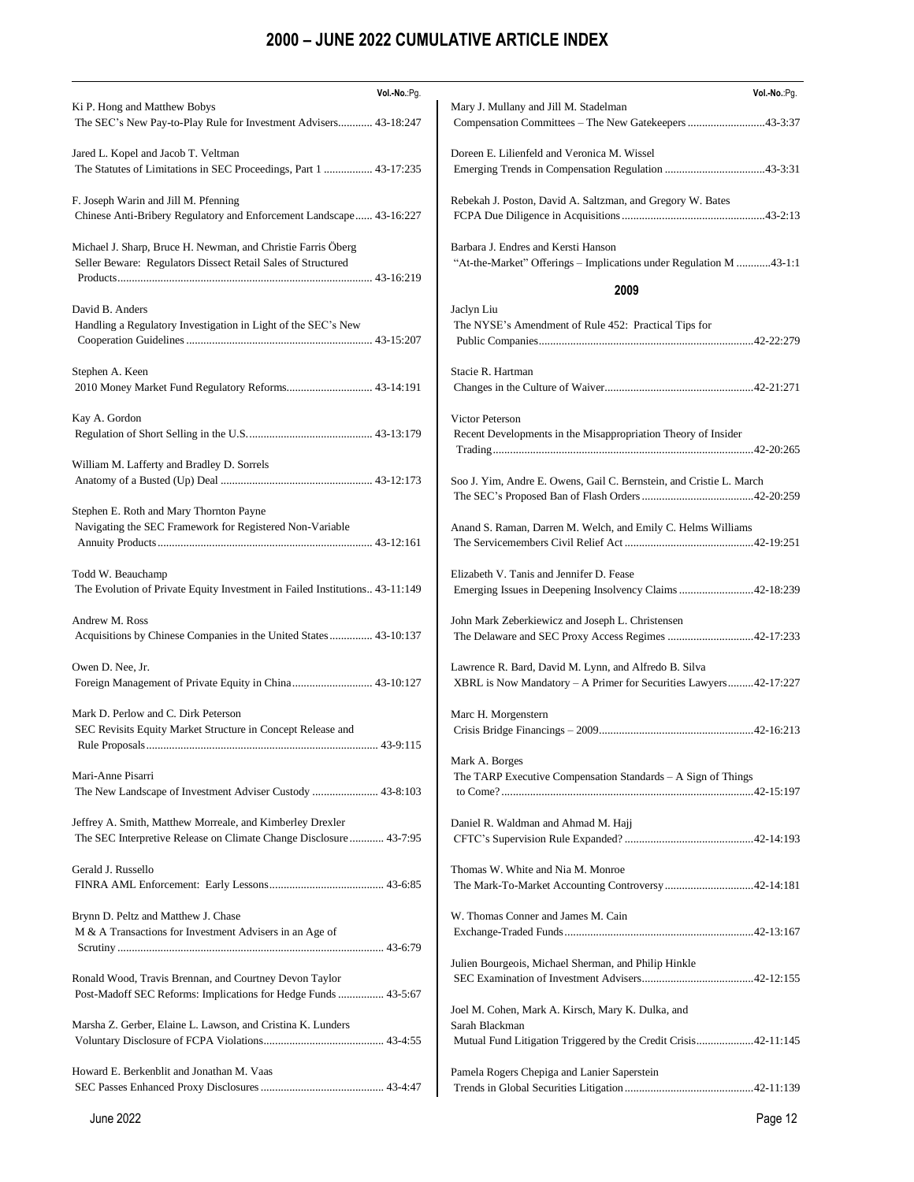| Vol .- No .: Pg.                                                                                 | Vol.-No.:Pg.                                                                                         |
|--------------------------------------------------------------------------------------------------|------------------------------------------------------------------------------------------------------|
| Ki P. Hong and Matthew Bobys                                                                     | Mary J. Mullany and Jill M. Stadelman                                                                |
| The SEC's New Pay-to-Play Rule for Investment Advisers 43-18:247                                 | Compensation Committees - The New Gatekeepers 43-3:37                                                |
| Jared L. Kopel and Jacob T. Veltman                                                              | Doreen E. Lilienfeld and Veronica M. Wissel                                                          |
| The Statutes of Limitations in SEC Proceedings, Part 1  43-17:235                                |                                                                                                      |
|                                                                                                  |                                                                                                      |
| F. Joseph Warin and Jill M. Pfenning                                                             | Rebekah J. Poston, David A. Saltzman, and Gregory W. Bates                                           |
| Chinese Anti-Bribery Regulatory and Enforcement Landscape 43-16:227                              |                                                                                                      |
|                                                                                                  | Barbara J. Endres and Kersti Hanson                                                                  |
| Michael J. Sharp, Bruce H. Newman, and Christie Farris Öberg                                     |                                                                                                      |
| Seller Beware: Regulators Dissect Retail Sales of Structured                                     | "At-the-Market" Offerings - Implications under Regulation M 43-1:1                                   |
|                                                                                                  | 2009                                                                                                 |
| David B. Anders                                                                                  | Jaclyn Liu                                                                                           |
| Handling a Regulatory Investigation in Light of the SEC's New                                    | The NYSE's Amendment of Rule 452: Practical Tips for                                                 |
|                                                                                                  |                                                                                                      |
|                                                                                                  |                                                                                                      |
| Stephen A. Keen                                                                                  | Stacie R. Hartman                                                                                    |
| 2010 Money Market Fund Regulatory Reforms 43-14:191                                              |                                                                                                      |
| Kay A. Gordon                                                                                    | Victor Peterson                                                                                      |
|                                                                                                  | Recent Developments in the Misappropriation Theory of Insider                                        |
|                                                                                                  |                                                                                                      |
| William M. Lafferty and Bradley D. Sorrels                                                       |                                                                                                      |
|                                                                                                  | Soo J. Yim, Andre E. Owens, Gail C. Bernstein, and Cristie L. March                                  |
|                                                                                                  |                                                                                                      |
| Stephen E. Roth and Mary Thornton Payne                                                          |                                                                                                      |
| Navigating the SEC Framework for Registered Non-Variable                                         | Anand S. Raman, Darren M. Welch, and Emily C. Helms Williams                                         |
|                                                                                                  |                                                                                                      |
|                                                                                                  |                                                                                                      |
| Todd W. Beauchamp<br>The Evolution of Private Equity Investment in Failed Institutions 43-11:149 | Elizabeth V. Tanis and Jennifer D. Fease<br>Emerging Issues in Deepening Insolvency Claims 42-18:239 |
|                                                                                                  |                                                                                                      |
| Andrew M. Ross                                                                                   | John Mark Zeberkiewicz and Joseph L. Christensen                                                     |
| Acquisitions by Chinese Companies in the United States 43-10:137                                 | The Delaware and SEC Proxy Access Regimes 42-17:233                                                  |
|                                                                                                  |                                                                                                      |
| Owen D. Nee, Jr.                                                                                 | Lawrence R. Bard, David M. Lynn, and Alfredo B. Silva                                                |
| Foreign Management of Private Equity in China 43-10:127                                          | XBRL is Now Mandatory - A Primer for Securities Lawyers42-17:227                                     |
| Mark D. Perlow and C. Dirk Peterson                                                              | Marc H. Morgenstern                                                                                  |
| SEC Revisits Equity Market Structure in Concept Release and                                      |                                                                                                      |
|                                                                                                  |                                                                                                      |
|                                                                                                  | Mark A. Borges                                                                                       |
| Mari-Anne Pisarri                                                                                | The TARP Executive Compensation Standards – A Sign of Things                                         |
|                                                                                                  |                                                                                                      |
|                                                                                                  |                                                                                                      |
| Jeffrey A. Smith, Matthew Morreale, and Kimberley Drexler                                        | Daniel R. Waldman and Ahmad M. Hajj                                                                  |
| The SEC Interpretive Release on Climate Change Disclosure 43-7:95                                |                                                                                                      |
| Gerald J. Russello                                                                               | Thomas W. White and Nia M. Monroe                                                                    |
|                                                                                                  | The Mark-To-Market Accounting Controversy 42-14:181                                                  |
|                                                                                                  |                                                                                                      |
| Brynn D. Peltz and Matthew J. Chase                                                              | W. Thomas Conner and James M. Cain                                                                   |
| M & A Transactions for Investment Advisers in an Age of                                          |                                                                                                      |
|                                                                                                  |                                                                                                      |
|                                                                                                  | Julien Bourgeois, Michael Sherman, and Philip Hinkle                                                 |
| Ronald Wood, Travis Brennan, and Courtney Devon Taylor                                           |                                                                                                      |
| Post-Madoff SEC Reforms: Implications for Hedge Funds  43-5:67                                   |                                                                                                      |
|                                                                                                  | Joel M. Cohen, Mark A. Kirsch, Mary K. Dulka, and                                                    |
| Marsha Z. Gerber, Elaine L. Lawson, and Cristina K. Lunders                                      | Sarah Blackman                                                                                       |
|                                                                                                  | Mutual Fund Litigation Triggered by the Credit Crisis42-11:145                                       |
| Howard E. Berkenblit and Jonathan M. Vaas                                                        | Pamela Rogers Chepiga and Lanier Saperstein                                                          |
|                                                                                                  |                                                                                                      |
|                                                                                                  |                                                                                                      |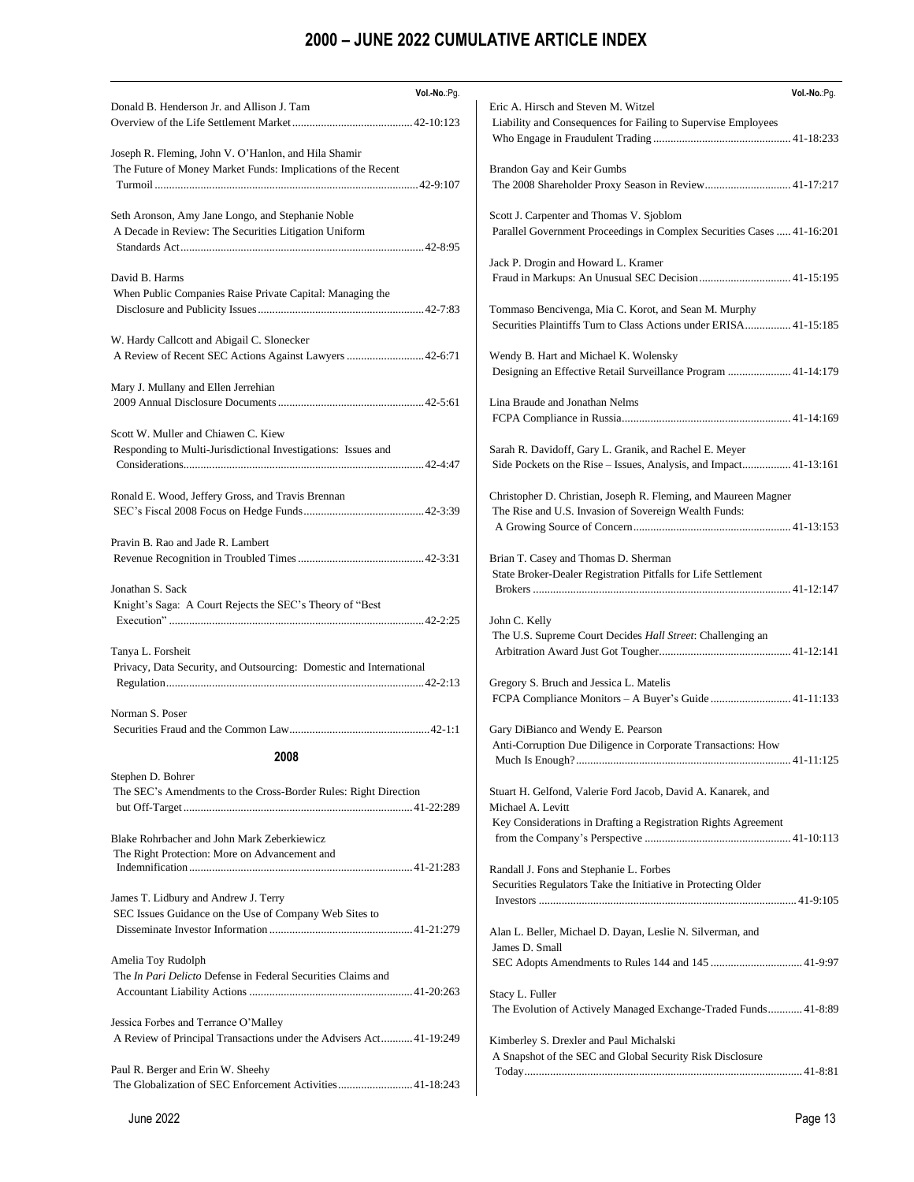| Vol.-No.:Pg.<br>Donald B. Henderson Jr. and Allison J. Tam          | Vol.-No.:Pg.<br>Eric A. Hirsch and Steven M. Witzel                         |
|---------------------------------------------------------------------|-----------------------------------------------------------------------------|
|                                                                     | Liability and Consequences for Failing to Supervise Employees               |
|                                                                     |                                                                             |
| Joseph R. Fleming, John V. O'Hanlon, and Hila Shamir                |                                                                             |
| The Future of Money Market Funds: Implications of the Recent        | Brandon Gay and Keir Gumbs                                                  |
|                                                                     | The 2008 Shareholder Proxy Season in Review 41-17:217                       |
|                                                                     |                                                                             |
| Seth Aronson, Amy Jane Longo, and Stephanie Noble                   | Scott J. Carpenter and Thomas V. Sjoblom                                    |
| A Decade in Review: The Securities Litigation Uniform               | Parallel Government Proceedings in Complex Securities Cases  41-16:201      |
|                                                                     |                                                                             |
|                                                                     | Jack P. Drogin and Howard L. Kramer                                         |
| David B. Harms                                                      |                                                                             |
| When Public Companies Raise Private Capital: Managing the           |                                                                             |
|                                                                     | Tommaso Bencivenga, Mia C. Korot, and Sean M. Murphy                        |
|                                                                     | Securities Plaintiffs Turn to Class Actions under ERISA 41-15:185           |
| W. Hardy Callcott and Abigail C. Slonecker                          |                                                                             |
| A Review of Recent SEC Actions Against Lawyers  42-6:71             | Wendy B. Hart and Michael K. Wolensky                                       |
| Mary J. Mullany and Ellen Jerrehian                                 | Designing an Effective Retail Surveillance Program  41-14:179               |
|                                                                     | Lina Braude and Jonathan Nelms                                              |
|                                                                     |                                                                             |
| Scott W. Muller and Chiawen C. Kiew                                 |                                                                             |
| Responding to Multi-Jurisdictional Investigations: Issues and       | Sarah R. Davidoff, Gary L. Granik, and Rachel E. Meyer                      |
|                                                                     | Side Pockets on the Rise - Issues, Analysis, and Impact 41-13:161           |
|                                                                     |                                                                             |
| Ronald E. Wood, Jeffery Gross, and Travis Brennan                   | Christopher D. Christian, Joseph R. Fleming, and Maureen Magner             |
|                                                                     | The Rise and U.S. Invasion of Sovereign Wealth Funds:                       |
|                                                                     |                                                                             |
| Pravin B. Rao and Jade R. Lambert                                   |                                                                             |
|                                                                     | Brian T. Casey and Thomas D. Sherman                                        |
|                                                                     | State Broker-Dealer Registration Pitfalls for Life Settlement               |
| Jonathan S. Sack                                                    |                                                                             |
| Knight's Saga: A Court Rejects the SEC's Theory of "Best            |                                                                             |
|                                                                     | John C. Kelly<br>The U.S. Supreme Court Decides Hall Street: Challenging an |
| Tanya L. Forsheit                                                   |                                                                             |
| Privacy, Data Security, and Outsourcing: Domestic and International |                                                                             |
|                                                                     | Gregory S. Bruch and Jessica L. Matelis                                     |
|                                                                     |                                                                             |
| Norman S. Poser                                                     |                                                                             |
|                                                                     | Gary DiBianco and Wendy E. Pearson                                          |
|                                                                     | Anti-Corruption Due Diligence in Corporate Transactions: How                |
| 2008                                                                |                                                                             |
| Stephen D. Bohrer                                                   |                                                                             |
| The SEC's Amendments to the Cross-Border Rules: Right Direction     | Stuart H. Gelfond, Valerie Ford Jacob, David A. Kanarek, and                |
|                                                                     | Michael A. Levitt                                                           |
|                                                                     | Key Considerations in Drafting a Registration Rights Agreement              |
| Blake Rohrbacher and John Mark Zeberkiewicz                         |                                                                             |
| The Right Protection: More on Advancement and                       | Randall J. Fons and Stephanie L. Forbes                                     |
|                                                                     | Securities Regulators Take the Initiative in Protecting Older               |
| James T. Lidbury and Andrew J. Terry                                |                                                                             |
| SEC Issues Guidance on the Use of Company Web Sites to              |                                                                             |
|                                                                     | Alan L. Beller, Michael D. Dayan, Leslie N. Silverman, and                  |
|                                                                     | James D. Small                                                              |
| Amelia Toy Rudolph                                                  |                                                                             |
| The <i>In Pari Delicto</i> Defense in Federal Securities Claims and |                                                                             |
|                                                                     | Stacy L. Fuller                                                             |
|                                                                     | The Evolution of Actively Managed Exchange-Traded Funds 41-8:89             |
| Jessica Forbes and Terrance O'Malley                                |                                                                             |
| A Review of Principal Transactions under the Advisers Act41-19:249  | Kimberley S. Drexler and Paul Michalski                                     |
|                                                                     | A Snapshot of the SEC and Global Security Risk Disclosure                   |
| Paul R. Berger and Erin W. Sheehy                                   |                                                                             |
| The Globalization of SEC Enforcement Activities41-18:243            |                                                                             |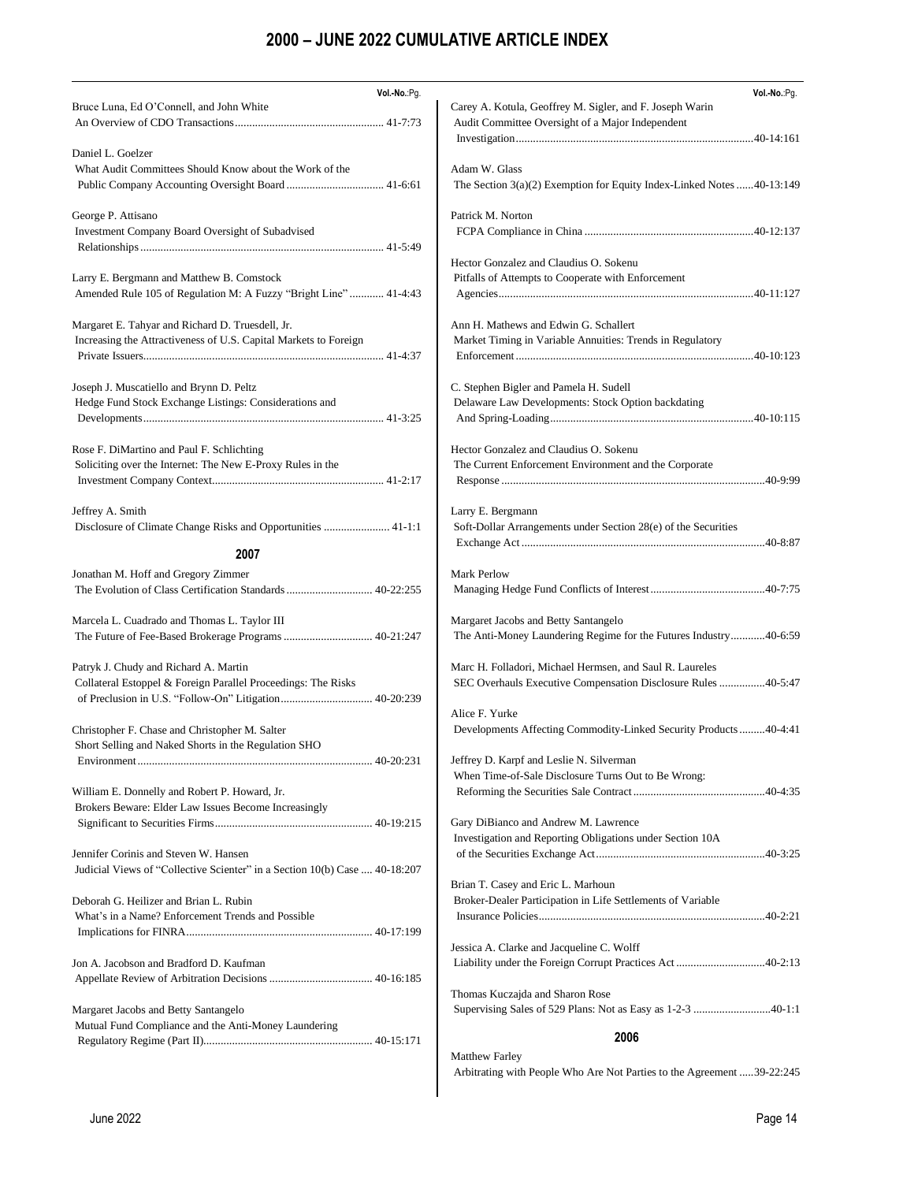| Vol .- No .: Pg.                                                                                              | Vol .- No .: Pg.                                                                                                          |
|---------------------------------------------------------------------------------------------------------------|---------------------------------------------------------------------------------------------------------------------------|
| Bruce Luna, Ed O'Connell, and John White                                                                      | Carey A. Kotula, Geoffrey M. Sigler, and F. Joseph Warin<br>Audit Committee Oversight of a Major Independent              |
| Daniel L. Goelzer                                                                                             |                                                                                                                           |
| What Audit Committees Should Know about the Work of the                                                       | Adam W. Glass<br>The Section $3(a)(2)$ Exemption for Equity Index-Linked Notes 40-13:149                                  |
| George P. Attisano<br>Investment Company Board Oversight of Subadvised                                        | Patrick M. Norton                                                                                                         |
|                                                                                                               |                                                                                                                           |
| Larry E. Bergmann and Matthew B. Comstock<br>Amended Rule 105 of Regulation M: A Fuzzy "Bright Line"  41-4:43 | Hector Gonzalez and Claudius O. Sokenu<br>Pitfalls of Attempts to Cooperate with Enforcement                              |
| Margaret E. Tahyar and Richard D. Truesdell, Jr.                                                              | Ann H. Mathews and Edwin G. Schallert                                                                                     |
| Increasing the Attractiveness of U.S. Capital Markets to Foreign                                              | Market Timing in Variable Annuities: Trends in Regulatory                                                                 |
| Joseph J. Muscatiello and Brynn D. Peltz<br>Hedge Fund Stock Exchange Listings: Considerations and            | C. Stephen Bigler and Pamela H. Sudell<br>Delaware Law Developments: Stock Option backdating                              |
| Rose F. DiMartino and Paul F. Schlichting<br>Soliciting over the Internet: The New E-Proxy Rules in the       | Hector Gonzalez and Claudius O. Sokenu<br>The Current Enforcement Environment and the Corporate                           |
| Jeffrey A. Smith<br>Disclosure of Climate Change Risks and Opportunities  41-1:1                              | Larry E. Bergmann<br>Soft-Dollar Arrangements under Section 28(e) of the Securities                                       |
| 2007                                                                                                          |                                                                                                                           |
| Jonathan M. Hoff and Gregory Zimmer                                                                           | Mark Perlow                                                                                                               |
| The Evolution of Class Certification Standards  40-22:255                                                     |                                                                                                                           |
| Marcela L. Cuadrado and Thomas L. Taylor III                                                                  | Margaret Jacobs and Betty Santangelo<br>The Anti-Money Laundering Regime for the Futures Industry40-6:59                  |
| Patryk J. Chudy and Richard A. Martin<br>Collateral Estoppel & Foreign Parallel Proceedings: The Risks        | Marc H. Folladori, Michael Hermsen, and Saul R. Laureles<br>SEC Overhauls Executive Compensation Disclosure Rules 40-5:47 |
|                                                                                                               | Alice F. Yurke                                                                                                            |
| Christopher F. Chase and Christopher M. Salter<br>Short Selling and Naked Shorts in the Regulation SHO        | Developments Affecting Commodity-Linked Security Products40-4:41                                                          |
|                                                                                                               | Jeffrey D. Karpf and Leslie N. Silverman<br>When Time-of-Sale Disclosure Turns Out to Be Wrong:                           |
| William E. Donnelly and Robert P. Howard, Jr.<br>Brokers Beware: Elder Law Issues Become Increasingly         |                                                                                                                           |
|                                                                                                               | Gary DiBianco and Andrew M. Lawrence<br>Investigation and Reporting Obligations under Section 10A                         |
| Jennifer Corinis and Steven W. Hansen                                                                         |                                                                                                                           |
| Judicial Views of "Collective Scienter" in a Section 10(b) Case  40-18:207                                    | Brian T. Casey and Eric L. Marhoun                                                                                        |
| Deborah G. Heilizer and Brian L. Rubin<br>What's in a Name? Enforcement Trends and Possible                   | Broker-Dealer Participation in Life Settlements of Variable                                                               |
|                                                                                                               | Jessica A. Clarke and Jacqueline C. Wolff                                                                                 |
| Jon A. Jacobson and Bradford D. Kaufman                                                                       | Liability under the Foreign Corrupt Practices Act40-2:13                                                                  |
| Margaret Jacobs and Betty Santangelo                                                                          | Thomas Kuczajda and Sharon Rose<br>Supervising Sales of 529 Plans: Not as Easy as 1-2-3 40-1:1                            |
| Mutual Fund Compliance and the Anti-Money Laundering                                                          | 2006                                                                                                                      |
|                                                                                                               |                                                                                                                           |
|                                                                                                               | <b>Matthew Farley</b><br>Arbitrating with People Who Are Not Parties to the Agreement 39-22:245                           |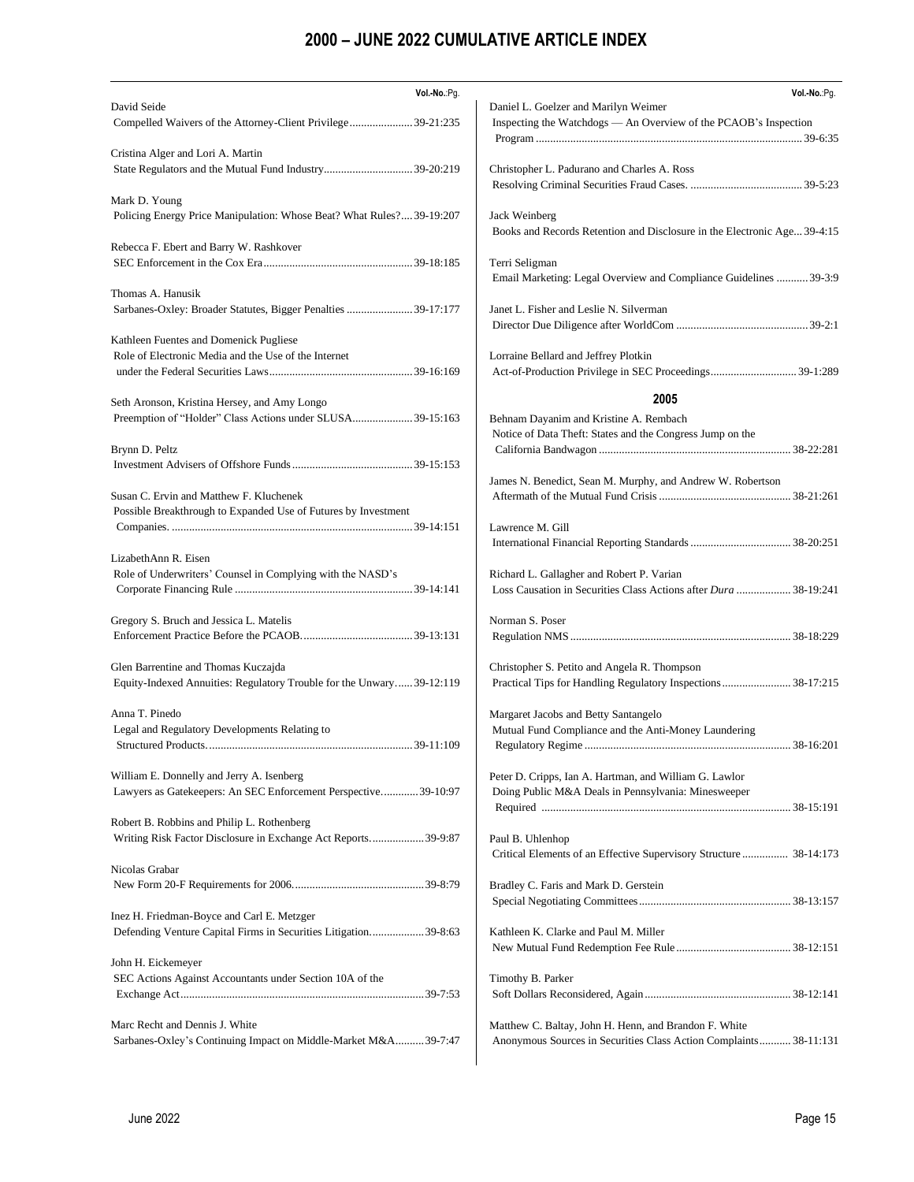| Vol.-No.:Pg.                                                          | Vol.-No.:Pg.                                                             |
|-----------------------------------------------------------------------|--------------------------------------------------------------------------|
| David Seide                                                           | Daniel L. Goelzer and Marilyn Weimer                                     |
| Compelled Waivers of the Attorney-Client Privilege 39-21:235          | Inspecting the Watchdogs — An Overview of the PCAOB's Inspection         |
|                                                                       |                                                                          |
| Cristina Alger and Lori A. Martin                                     |                                                                          |
|                                                                       | Christopher L. Padurano and Charles A. Ross                              |
| Mark D. Young                                                         |                                                                          |
| Policing Energy Price Manipulation: Whose Beat? What Rules?39-19:207  | Jack Weinberg                                                            |
|                                                                       | Books and Records Retention and Disclosure in the Electronic Age 39-4:15 |
| Rebecca F. Ebert and Barry W. Rashkover                               |                                                                          |
|                                                                       | Terri Seligman                                                           |
|                                                                       | Email Marketing: Legal Overview and Compliance Guidelines  39-3:9        |
| Thomas A. Hanusik                                                     |                                                                          |
| Sarbanes-Oxley: Broader Statutes, Bigger Penalties 39-17:177          | Janet L. Fisher and Leslie N. Silverman                                  |
|                                                                       |                                                                          |
| Kathleen Fuentes and Domenick Pugliese                                |                                                                          |
| Role of Electronic Media and the Use of the Internet                  | Lorraine Bellard and Jeffrey Plotkin                                     |
|                                                                       | Act-of-Production Privilege in SEC Proceedings 39-1:289                  |
|                                                                       |                                                                          |
| Seth Aronson, Kristina Hersey, and Amy Longo                          | 2005                                                                     |
| Preemption of "Holder" Class Actions under SLUSA 39-15:163            | Behnam Dayanim and Kristine A. Rembach                                   |
|                                                                       | Notice of Data Theft: States and the Congress Jump on the                |
| Brynn D. Peltz                                                        |                                                                          |
|                                                                       |                                                                          |
|                                                                       | James N. Benedict, Sean M. Murphy, and Andrew W. Robertson               |
| Susan C. Ervin and Matthew F. Kluchenek                               |                                                                          |
| Possible Breakthrough to Expanded Use of Futures by Investment        |                                                                          |
|                                                                       | Lawrence M. Gill                                                         |
| LizabethAnn R. Eisen                                                  |                                                                          |
| Role of Underwriters' Counsel in Complying with the NASD's            | Richard L. Gallagher and Robert P. Varian                                |
|                                                                       | Loss Causation in Securities Class Actions after Dura  38-19:241         |
|                                                                       |                                                                          |
| Gregory S. Bruch and Jessica L. Matelis                               | Norman S. Poser                                                          |
|                                                                       |                                                                          |
|                                                                       |                                                                          |
| Glen Barrentine and Thomas Kuczajda                                   | Christopher S. Petito and Angela R. Thompson                             |
| Equity-Indexed Annuities: Regulatory Trouble for the Unwary 39-12:119 | Practical Tips for Handling Regulatory Inspections 38-17:215             |
|                                                                       |                                                                          |
| Anna T. Pinedo                                                        | Margaret Jacobs and Betty Santangelo                                     |
| Legal and Regulatory Developments Relating to                         | Mutual Fund Compliance and the Anti-Money Laundering                     |
|                                                                       |                                                                          |
| William E. Donnelly and Jerry A. Isenberg                             | Peter D. Cripps, Ian A. Hartman, and William G. Lawlor                   |
| Lawyers as Gatekeepers: An SEC Enforcement Perspective39-10:97        | Doing Public M&A Deals in Pennsylvania: Minesweeper                      |
|                                                                       |                                                                          |
| Robert B. Robbins and Philip L. Rothenberg                            |                                                                          |
| Writing Risk Factor Disclosure in Exchange Act Reports39-9:87         | Paul B. Uhlenhop                                                         |
|                                                                       | Critical Elements of an Effective Supervisory Structure  38-14:173       |
| Nicolas Grabar                                                        |                                                                          |
|                                                                       | Bradley C. Faris and Mark D. Gerstein                                    |
|                                                                       |                                                                          |
| Inez H. Friedman-Boyce and Carl E. Metzger                            |                                                                          |
| Defending Venture Capital Firms in Securities Litigation39-8:63       | Kathleen K. Clarke and Paul M. Miller                                    |
|                                                                       |                                                                          |
| John H. Eickemeyer                                                    |                                                                          |
| SEC Actions Against Accountants under Section 10A of the              | Timothy B. Parker                                                        |
|                                                                       |                                                                          |
|                                                                       |                                                                          |
| Marc Recht and Dennis J. White                                        | Matthew C. Baltay, John H. Henn, and Brandon F. White                    |
| Sarbanes-Oxley's Continuing Impact on Middle-Market M&A39-7:47        | Anonymous Sources in Securities Class Action Complaints 38-11:131        |
|                                                                       |                                                                          |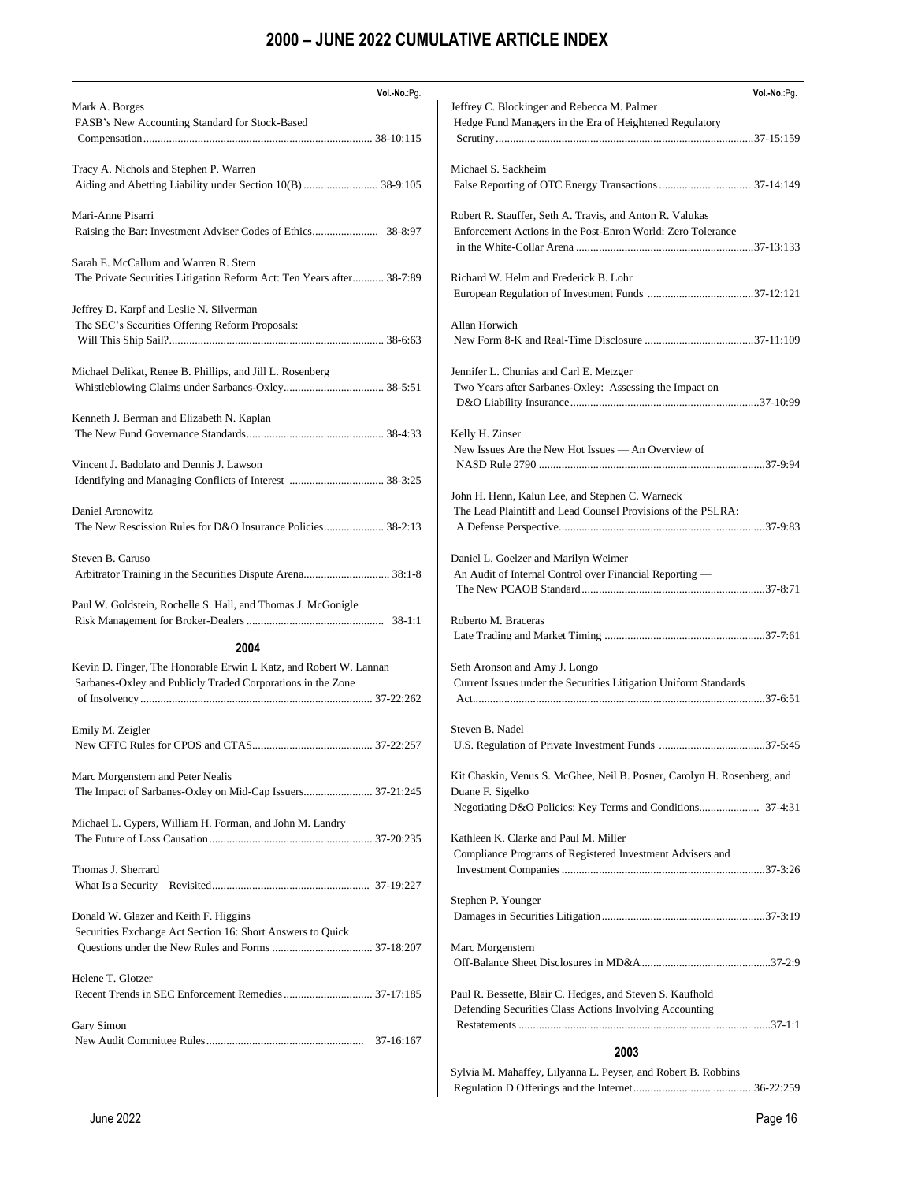| Vol .- No .: Pg.                                                                                               | Vol.-No.:Pg.                                                            |
|----------------------------------------------------------------------------------------------------------------|-------------------------------------------------------------------------|
| Mark A. Borges                                                                                                 | Jeffrey C. Blockinger and Rebecca M. Palmer                             |
| FASB's New Accounting Standard for Stock-Based                                                                 | Hedge Fund Managers in the Era of Heightened Regulatory                 |
|                                                                                                                |                                                                         |
| Tracy A. Nichols and Stephen P. Warren                                                                         | Michael S. Sackheim                                                     |
|                                                                                                                |                                                                         |
| Mari-Anne Pisarri                                                                                              | Robert R. Stauffer, Seth A. Travis, and Anton R. Valukas                |
|                                                                                                                | Enforcement Actions in the Post-Enron World: Zero Tolerance             |
|                                                                                                                |                                                                         |
| Sarah E. McCallum and Warren R. Stern<br>The Private Securities Litigation Reform Act: Ten Years after 38-7:89 | Richard W. Helm and Frederick B. Lohr                                   |
|                                                                                                                |                                                                         |
| Jeffrey D. Karpf and Leslie N. Silverman                                                                       |                                                                         |
| The SEC's Securities Offering Reform Proposals:                                                                | Allan Horwich                                                           |
|                                                                                                                |                                                                         |
| Michael Delikat, Renee B. Phillips, and Jill L. Rosenberg                                                      | Jennifer L. Chunias and Carl E. Metzger                                 |
|                                                                                                                | Two Years after Sarbanes-Oxley: Assessing the Impact on                 |
|                                                                                                                |                                                                         |
| Kenneth J. Berman and Elizabeth N. Kaplan                                                                      |                                                                         |
|                                                                                                                | Kelly H. Zinser<br>New Issues Are the New Hot Issues — An Overview of   |
| Vincent J. Badolato and Dennis J. Lawson                                                                       |                                                                         |
|                                                                                                                |                                                                         |
|                                                                                                                | John H. Henn, Kalun Lee, and Stephen C. Warneck                         |
| Daniel Aronowitz                                                                                               | The Lead Plaintiff and Lead Counsel Provisions of the PSLRA:            |
|                                                                                                                |                                                                         |
| Steven B. Caruso                                                                                               | Daniel L. Goelzer and Marilyn Weimer                                    |
| Arbitrator Training in the Securities Dispute Arena 38:1-8                                                     | An Audit of Internal Control over Financial Reporting -                 |
|                                                                                                                |                                                                         |
| Paul W. Goldstein, Rochelle S. Hall, and Thomas J. McGonigle                                                   |                                                                         |
|                                                                                                                | Roberto M. Braceras                                                     |
| 2004                                                                                                           |                                                                         |
| Kevin D. Finger, The Honorable Erwin I. Katz, and Robert W. Lannan                                             | Seth Aronson and Amy J. Longo                                           |
| Sarbanes-Oxley and Publicly Traded Corporations in the Zone                                                    | Current Issues under the Securities Litigation Uniform Standards        |
|                                                                                                                |                                                                         |
| Emily M. Zeigler                                                                                               | Steven B. Nadel                                                         |
|                                                                                                                |                                                                         |
|                                                                                                                |                                                                         |
| Marc Morgenstern and Peter Nealis                                                                              | Kit Chaskin, Venus S. McGhee, Neil B. Posner, Carolyn H. Rosenberg, and |
|                                                                                                                | Duane F. Sigelko                                                        |
| Michael L. Cypers, William H. Forman, and John M. Landry                                                       |                                                                         |
|                                                                                                                | Kathleen K. Clarke and Paul M. Miller                                   |
|                                                                                                                | Compliance Programs of Registered Investment Advisers and               |
| Thomas J. Sherrard                                                                                             |                                                                         |
|                                                                                                                |                                                                         |
| Donald W. Glazer and Keith F. Higgins                                                                          | Stephen P. Younger                                                      |
| Securities Exchange Act Section 16: Short Answers to Quick                                                     |                                                                         |
|                                                                                                                | Marc Morgenstern                                                        |
|                                                                                                                |                                                                         |
| Helene T. Glotzer                                                                                              |                                                                         |
|                                                                                                                | Paul R. Bessette, Blair C. Hedges, and Steven S. Kaufhold               |
| Gary Simon                                                                                                     | Defending Securities Class Actions Involving Accounting                 |
|                                                                                                                |                                                                         |
|                                                                                                                | 2003                                                                    |
|                                                                                                                | Sylvia M. Mahaffey, Lilyanna L. Peyser, and Robert B. Robbins           |

Regulation D Offerings and the Internet..........................................36-22:259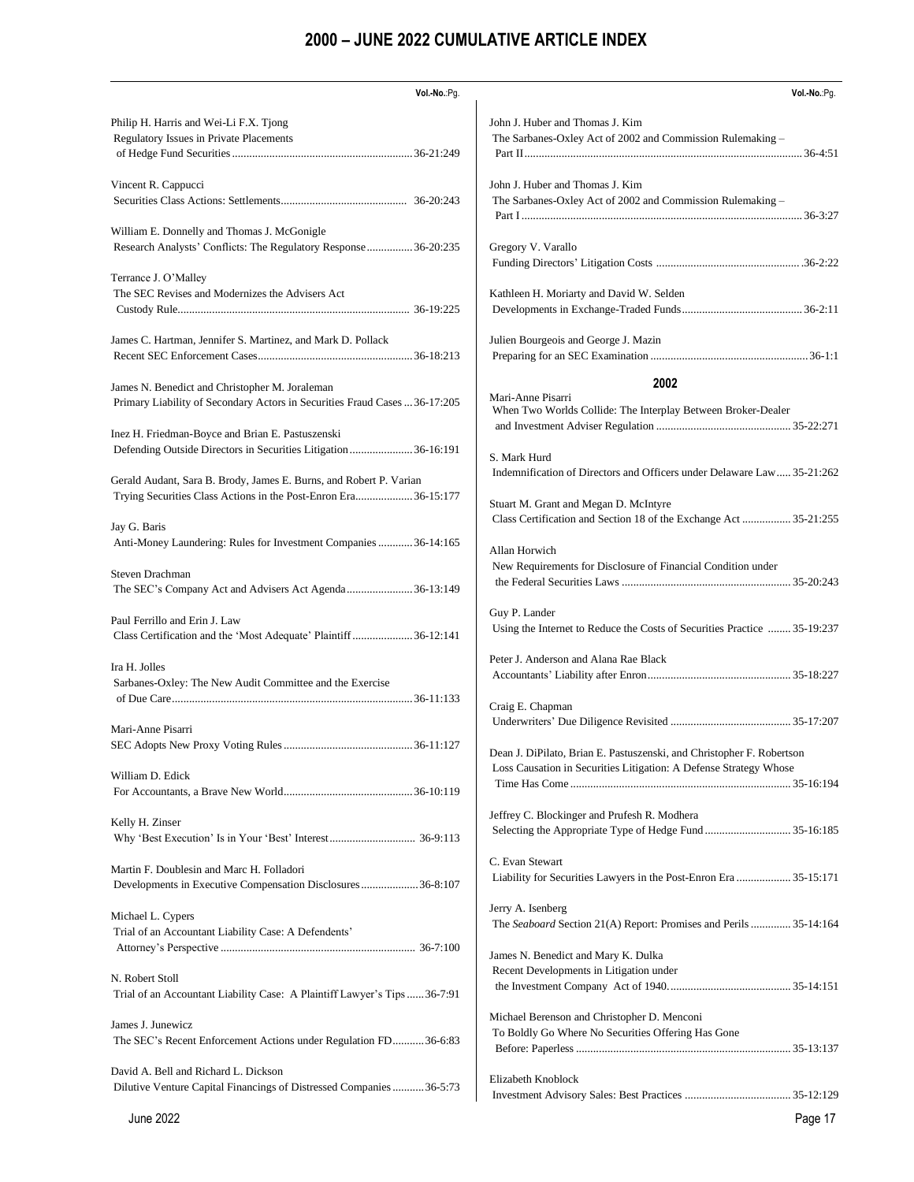| Vol .- No .: Pg.                                                                 | Vol.-No.:Pg.                                                                              |
|----------------------------------------------------------------------------------|-------------------------------------------------------------------------------------------|
| Philip H. Harris and Wei-Li F.X. Tjong                                           | John J. Huber and Thomas J. Kim                                                           |
| Regulatory Issues in Private Placements                                          | The Sarbanes-Oxley Act of 2002 and Commission Rulemaking -                                |
|                                                                                  |                                                                                           |
| Vincent R. Cappucci                                                              | John J. Huber and Thomas J. Kim                                                           |
|                                                                                  | The Sarbanes-Oxley Act of 2002 and Commission Rulemaking –                                |
|                                                                                  |                                                                                           |
| William E. Donnelly and Thomas J. McGonigle                                      |                                                                                           |
| Research Analysts' Conflicts: The Regulatory Response 36-20:235                  | Gregory V. Varallo                                                                        |
|                                                                                  |                                                                                           |
| Terrance J. O'Malley                                                             |                                                                                           |
| The SEC Revises and Modernizes the Advisers Act                                  | Kathleen H. Moriarty and David W. Selden                                                  |
|                                                                                  |                                                                                           |
| James C. Hartman, Jennifer S. Martinez, and Mark D. Pollack                      | Julien Bourgeois and George J. Mazin                                                      |
|                                                                                  |                                                                                           |
|                                                                                  |                                                                                           |
| James N. Benedict and Christopher M. Joraleman                                   | 2002                                                                                      |
| Primary Liability of Secondary Actors in Securities Fraud Cases  36-17:205       | Mari-Anne Pisarri<br>When Two Worlds Collide: The Interplay Between Broker-Dealer         |
|                                                                                  |                                                                                           |
| Inez H. Friedman-Boyce and Brian E. Pastuszenski                                 |                                                                                           |
| Defending Outside Directors in Securities Litigation36-16:191                    | S. Mark Hurd                                                                              |
|                                                                                  | Indemnification of Directors and Officers under Delaware Law 35-21:262                    |
| Gerald Audant, Sara B. Brody, James E. Burns, and Robert P. Varian               |                                                                                           |
| Trying Securities Class Actions in the Post-Enron Era 36-15:177                  | Stuart M. Grant and Megan D. McIntyre                                                     |
|                                                                                  | Class Certification and Section 18 of the Exchange Act  35-21:255                         |
| Jay G. Baris<br>Anti-Money Laundering: Rules for Investment Companies  36-14:165 |                                                                                           |
|                                                                                  | Allan Horwich                                                                             |
| Steven Drachman                                                                  | New Requirements for Disclosure of Financial Condition under                              |
| The SEC's Company Act and Advisers Act Agenda 36-13:149                          |                                                                                           |
|                                                                                  |                                                                                           |
| Paul Ferrillo and Erin J. Law                                                    | Guy P. Lander<br>Using the Internet to Reduce the Costs of Securities Practice  35-19:237 |
| Class Certification and the 'Most Adequate' Plaintiff 36-12:141                  |                                                                                           |
|                                                                                  | Peter J. Anderson and Alana Rae Black                                                     |
| Ira H. Jolles                                                                    |                                                                                           |
| Sarbanes-Oxley: The New Audit Committee and the Exercise                         |                                                                                           |
|                                                                                  | Craig E. Chapman                                                                          |
| Mari-Anne Pisarri                                                                |                                                                                           |
|                                                                                  |                                                                                           |
|                                                                                  | Dean J. DiPilato, Brian E. Pastuszenski, and Christopher F. Robertson                     |
| William D. Edick                                                                 | Loss Causation in Securities Litigation: A Defense Strategy Whose                         |
|                                                                                  |                                                                                           |
|                                                                                  |                                                                                           |
| Kelly H. Zinser                                                                  | Jeffrey C. Blockinger and Prufesh R. Modhera                                              |
|                                                                                  |                                                                                           |
|                                                                                  | C. Evan Stewart                                                                           |
| Martin F. Doublesin and Marc H. Folladori                                        | Liability for Securities Lawyers in the Post-Enron Era  35-15:171                         |
| Developments in Executive Compensation Disclosures36-8:107                       |                                                                                           |
|                                                                                  | Jerry A. Isenberg                                                                         |
| Michael L. Cypers                                                                | The Seaboard Section 21(A) Report: Promises and Perils  35-14:164                         |
| Trial of an Accountant Liability Case: A Defendents'                             |                                                                                           |
|                                                                                  | James N. Benedict and Mary K. Dulka                                                       |
| N. Robert Stoll                                                                  | Recent Developments in Litigation under                                                   |
| Trial of an Accountant Liability Case: A Plaintiff Lawyer's Tips  36-7:91        |                                                                                           |
|                                                                                  |                                                                                           |
| James J. Junewicz                                                                | Michael Berenson and Christopher D. Menconi                                               |
| The SEC's Recent Enforcement Actions under Regulation FD36-6:83                  | To Boldly Go Where No Securities Offering Has Gone                                        |
|                                                                                  |                                                                                           |
| David A. Bell and Richard L. Dickson                                             |                                                                                           |
| Dilutive Venture Capital Financings of Distressed Companies36-5:73               | Elizabeth Knoblock                                                                        |
|                                                                                  |                                                                                           |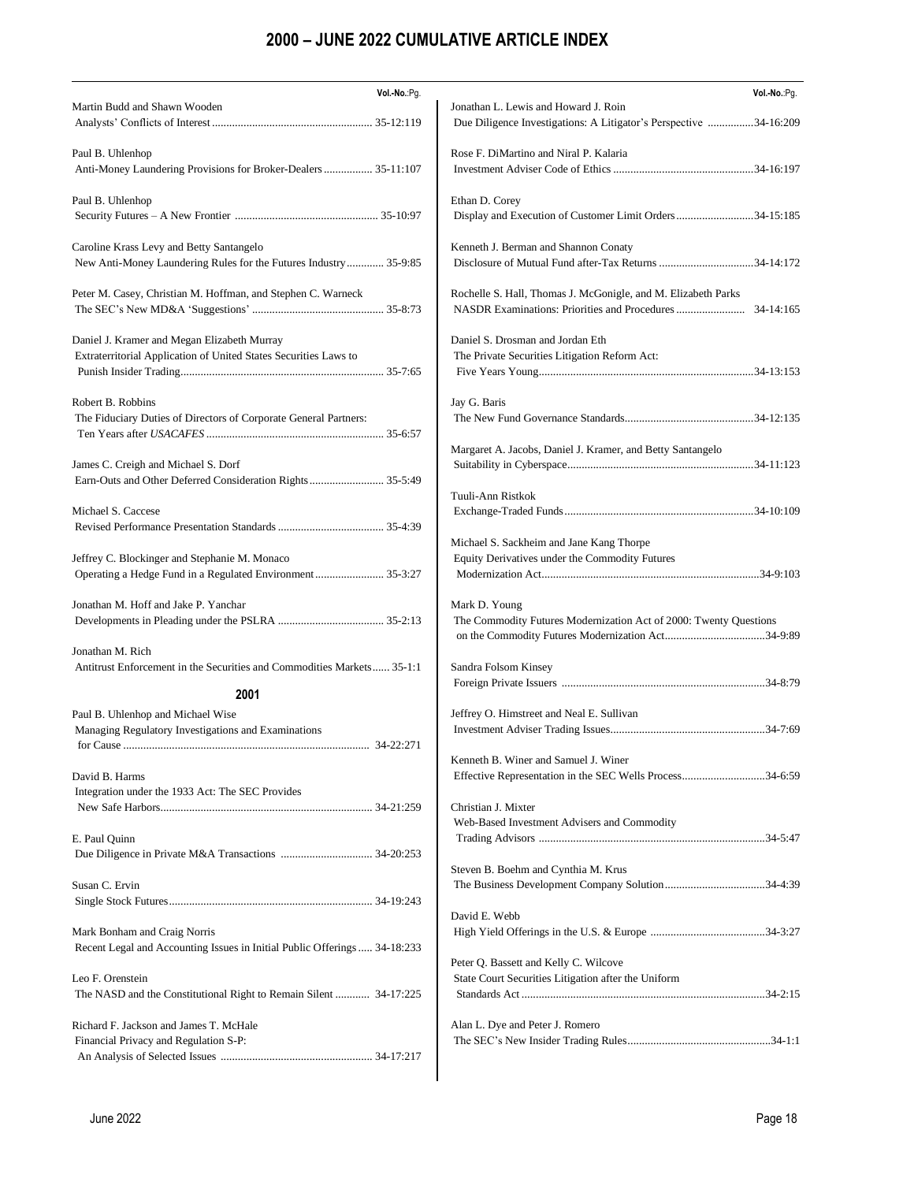| Vol .- No .: Pg.                                                          | Vol.-No.:Pg.                                                      |
|---------------------------------------------------------------------------|-------------------------------------------------------------------|
| Martin Budd and Shawn Wooden                                              | Jonathan L. Lewis and Howard J. Roin                              |
|                                                                           | Due Diligence Investigations: A Litigator's Perspective 34-16:209 |
|                                                                           |                                                                   |
| Paul B. Uhlenhop                                                          | Rose F. DiMartino and Niral P. Kalaria                            |
| Anti-Money Laundering Provisions for Broker-Dealers  35-11:107            |                                                                   |
|                                                                           |                                                                   |
|                                                                           |                                                                   |
| Paul B. Uhlenhop                                                          | Ethan D. Corey                                                    |
|                                                                           | Display and Execution of Customer Limit Orders34-15:185           |
|                                                                           |                                                                   |
| Caroline Krass Levy and Betty Santangelo                                  | Kenneth J. Berman and Shannon Conaty                              |
| New Anti-Money Laundering Rules for the Futures Industry 35-9:85          | Disclosure of Mutual Fund after-Tax Returns 34-14:172             |
|                                                                           |                                                                   |
| Peter M. Casey, Christian M. Hoffman, and Stephen C. Warneck              | Rochelle S. Hall, Thomas J. McGonigle, and M. Elizabeth Parks     |
|                                                                           |                                                                   |
|                                                                           |                                                                   |
| Daniel J. Kramer and Megan Elizabeth Murray                               | Daniel S. Drosman and Jordan Eth                                  |
| Extraterritorial Application of United States Securities Laws to          | The Private Securities Litigation Reform Act:                     |
|                                                                           |                                                                   |
|                                                                           |                                                                   |
|                                                                           |                                                                   |
| Robert B. Robbins                                                         | Jay G. Baris                                                      |
| The Fiduciary Duties of Directors of Corporate General Partners:          |                                                                   |
|                                                                           |                                                                   |
|                                                                           | Margaret A. Jacobs, Daniel J. Kramer, and Betty Santangelo        |
| James C. Creigh and Michael S. Dorf                                       |                                                                   |
| Earn-Outs and Other Deferred Consideration Rights 35-5:49                 |                                                                   |
|                                                                           |                                                                   |
|                                                                           | Tuuli-Ann Ristkok                                                 |
| Michael S. Caccese                                                        |                                                                   |
|                                                                           |                                                                   |
|                                                                           | Michael S. Sackheim and Jane Kang Thorpe                          |
| Jeffrey C. Blockinger and Stephanie M. Monaco                             | Equity Derivatives under the Commodity Futures                    |
| Operating a Hedge Fund in a Regulated Environment  35-3:27                |                                                                   |
|                                                                           |                                                                   |
| Jonathan M. Hoff and Jake P. Yanchar                                      | Mark D. Young                                                     |
|                                                                           | The Commodity Futures Modernization Act of 2000: Twenty Questions |
|                                                                           |                                                                   |
|                                                                           |                                                                   |
| Jonathan M. Rich                                                          |                                                                   |
| Antitrust Enforcement in the Securities and Commodities Markets 35-1:1    | Sandra Folsom Kinsey                                              |
|                                                                           |                                                                   |
| 2001                                                                      |                                                                   |
| Paul B. Uhlenhop and Michael Wise                                         | Jeffrey O. Himstreet and Neal E. Sullivan                         |
| Managing Regulatory Investigations and Examinations                       |                                                                   |
| 34-22:271                                                                 |                                                                   |
|                                                                           | Kenneth B. Winer and Samuel J. Winer                              |
| David B. Harms                                                            | Effective Representation in the SEC Wells Process34-6:59          |
| Integration under the 1933 Act: The SEC Provides                          |                                                                   |
|                                                                           | Christian J. Mixter                                               |
|                                                                           |                                                                   |
|                                                                           | Web-Based Investment Advisers and Commodity                       |
| E. Paul Quinn                                                             |                                                                   |
|                                                                           |                                                                   |
|                                                                           | Steven B. Boehm and Cynthia M. Krus                               |
| Susan C. Ervin                                                            |                                                                   |
|                                                                           |                                                                   |
|                                                                           | David E. Webb                                                     |
| Mark Bonham and Craig Norris                                              |                                                                   |
|                                                                           |                                                                   |
| Recent Legal and Accounting Issues in Initial Public Offerings  34-18:233 |                                                                   |
|                                                                           | Peter Q. Bassett and Kelly C. Wilcove                             |
| Leo F. Orenstein                                                          | State Court Securities Litigation after the Uniform               |
| The NASD and the Constitutional Right to Remain Silent  34-17:225         |                                                                   |
|                                                                           |                                                                   |
| Richard F. Jackson and James T. McHale                                    | Alan L. Dye and Peter J. Romero                                   |
| Financial Privacy and Regulation S-P:                                     |                                                                   |
|                                                                           |                                                                   |
|                                                                           |                                                                   |
|                                                                           |                                                                   |